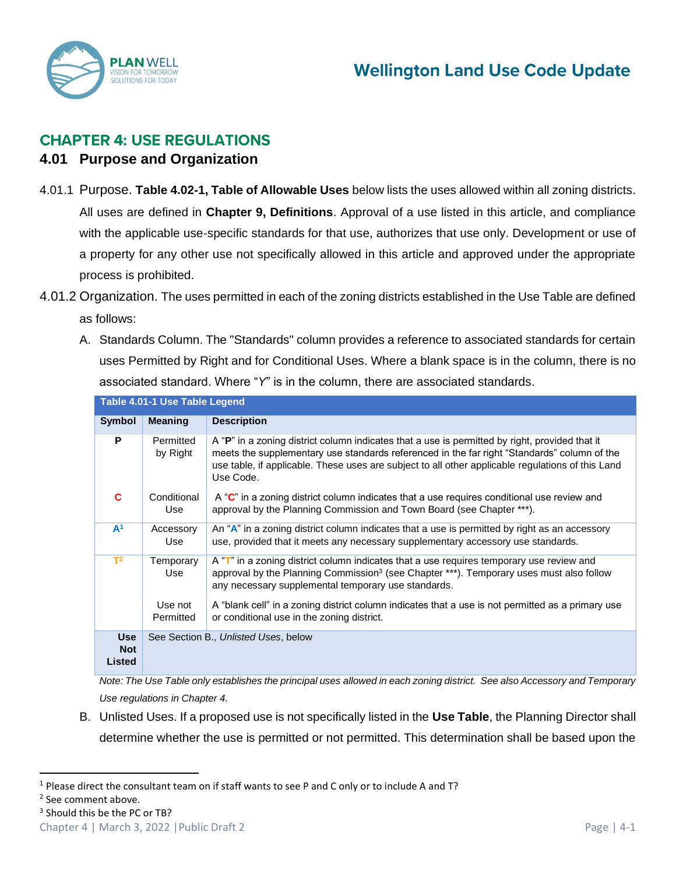

# **CHAPTER 4: USE REGULATIONS**

## **4.01 Purpose and Organization**

- 4.01.1 Purpose. **Table 4.02-1, Table of Allowable Uses** below lists the uses allowed within all zoning districts. All uses are defined in **Chapter 9, Definitions**. Approval of a use listed in this article, and compliance with the applicable use-specific standards for that use, authorizes that use only. Development or use of a property for any other use not specifically allowed in this article and approved under the appropriate process is prohibited.
- 4.01.2 Organization. The uses permitted in each of the zoning districts established in the Use Table are defined as follows:
	- A. Standards Column. The "Standards" column provides a reference to associated standards for certain uses Permitted by Right and for Conditional Uses. Where a blank space is in the column, there is no associated standard. Where "*Y*" is in the column, there are associated standards.

|                                           | Table 4.01-1 Use Table Legend |                                                                                                                                                                                                                                                                                                                 |
|-------------------------------------------|-------------------------------|-----------------------------------------------------------------------------------------------------------------------------------------------------------------------------------------------------------------------------------------------------------------------------------------------------------------|
| <b>Symbol</b>                             | <b>Meaning</b>                | <b>Description</b>                                                                                                                                                                                                                                                                                              |
| P                                         | Permitted<br>by Right         | A "P" in a zoning district column indicates that a use is permitted by right, provided that it<br>meets the supplementary use standards referenced in the far right "Standards" column of the<br>use table, if applicable. These uses are subject to all other applicable regulations of this Land<br>Use Code. |
| C                                         | Conditional<br>Use            | A " $C$ " in a zoning district column indicates that a use requires conditional use review and<br>approval by the Planning Commission and Town Board (see Chapter ***).                                                                                                                                         |
| A <sup>1</sup>                            | Accessory<br>Use              | An "A" in a zoning district column indicates that a use is permitted by right as an accessory<br>use, provided that it meets any necessary supplementary accessory use standards.                                                                                                                               |
| $T^2$                                     | Temporary<br>Use              | A " $\mathsf{T}$ " in a zoning district column indicates that a use requires temporary use review and<br>approval by the Planning Commission <sup>3</sup> (see Chapter ***). Temporary uses must also follow<br>any necessary supplemental temporary use standards.                                             |
|                                           | Use not<br>Permitted          | A "blank cell" in a zoning district column indicates that a use is not permitted as a primary use<br>or conditional use in the zoning district.                                                                                                                                                                 |
| <b>Use</b><br><b>Not</b><br><b>Listed</b> |                               | See Section B., Unlisted Uses, below                                                                                                                                                                                                                                                                            |

*Note: The Use Table only establishes the principal uses allowed in each zoning district. See also Accessory and Temporary Use regulations in Chapter 4.*

B. Unlisted Uses. If a proposed use is not specifically listed in the **Use Table**, the Planning Director shall determine whether the use is permitted or not permitted. This determination shall be based upon the

<sup>3</sup> Should this be the PC or TB?

 $1$  Please direct the consultant team on if staff wants to see P and C only or to include A and T?

<sup>&</sup>lt;sup>2</sup> See comment above.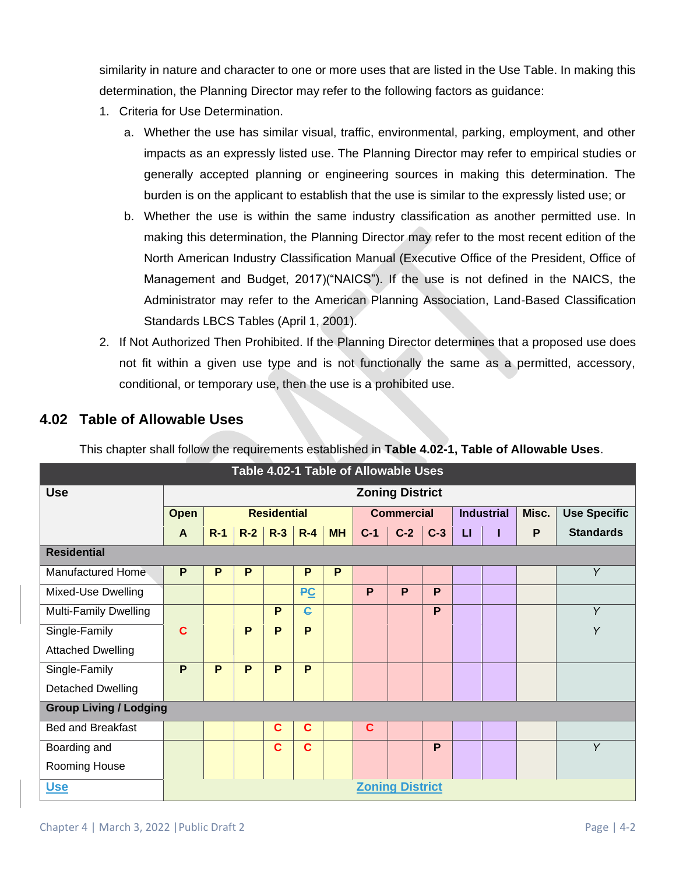similarity in nature and character to one or more uses that are listed in the Use Table. In making this determination, the Planning Director may refer to the following factors as guidance:

- 1. Criteria for Use Determination.
	- a. Whether the use has similar visual, traffic, environmental, parking, employment, and other impacts as an expressly listed use. The Planning Director may refer to empirical studies or generally accepted planning or engineering sources in making this determination. The burden is on the applicant to establish that the use is similar to the expressly listed use; or
	- b. Whether the use is within the same industry classification as another permitted use. In making this determination, the Planning Director may refer to the most recent edition of the North American Industry Classification Manual (Executive Office of the President, Office of Management and Budget, 2017)("NAICS"). If the use is not defined in the NAICS, the Administrator may refer to the American Planning Association, Land-Based Classification Standards LBCS Tables (April 1, 2001).
- 2. If Not Authorized Then Prohibited. If the Planning Director determines that a proposed use does not fit within a given use type and is not functionally the same as a permitted, accessory, conditional, or temporary use, then the use is a prohibited use.

|                               | Table 4.02-1 Table of Allowable Uses |       |       |                    |              |           |                   |                        |       |              |                   |       |                     |  |
|-------------------------------|--------------------------------------|-------|-------|--------------------|--------------|-----------|-------------------|------------------------|-------|--------------|-------------------|-------|---------------------|--|
| <b>Use</b>                    | <b>Zoning District</b>               |       |       |                    |              |           |                   |                        |       |              |                   |       |                     |  |
|                               | <b>Open</b>                          |       |       | <b>Residential</b> |              |           | <b>Commercial</b> |                        |       |              | <b>Industrial</b> | Misc. | <b>Use Specific</b> |  |
|                               | $\mathbf{A}$                         | $R-1$ | $R-2$ | $R-3$              | $R - 4$      | <b>MH</b> | $C-1$             | $C-2$                  | $C-3$ | $\mathsf{L}$ |                   | P     | <b>Standards</b>    |  |
| <b>Residential</b>            |                                      |       |       |                    |              |           |                   |                        |       |              |                   |       |                     |  |
| <b>Manufactured Home</b>      | P                                    | P     | P     |                    | P            | P         |                   |                        |       |              |                   |       | Y                   |  |
| Mixed-Use Dwelling            |                                      |       |       |                    | PC           |           | P                 | P                      | P     |              |                   |       |                     |  |
| Multi-Family Dwelling         |                                      |       |       | P                  | $\mathbf{G}$ |           |                   |                        | P     |              |                   |       | Y                   |  |
| Single-Family                 | Ć                                    |       | P     | P                  | P            |           |                   |                        |       |              |                   |       | Y                   |  |
| <b>Attached Dwelling</b>      |                                      |       |       |                    |              |           |                   |                        |       |              |                   |       |                     |  |
| Single-Family                 | P                                    | P     | P     | P                  | P            |           |                   |                        |       |              |                   |       |                     |  |
| <b>Detached Dwelling</b>      |                                      |       |       |                    |              |           |                   |                        |       |              |                   |       |                     |  |
| <b>Group Living / Lodging</b> |                                      |       |       |                    |              |           |                   |                        |       |              |                   |       |                     |  |
| <b>Bed and Breakfast</b>      |                                      |       |       | $\mathbf c$        | $\mathbf c$  |           | $\mathbf{C}$      |                        |       |              |                   |       |                     |  |
| Boarding and                  |                                      |       |       | $\mathbf C$        | $\mathbf c$  |           |                   |                        | P     |              |                   |       | Y                   |  |
| Rooming House                 |                                      |       |       |                    |              |           |                   |                        |       |              |                   |       |                     |  |
| <u>Use</u>                    |                                      |       |       |                    |              |           |                   | <b>Zoning District</b> |       |              |                   |       |                     |  |

## **4.02 Table of Allowable Uses**

This chapter shall follow the requirements established in **Table 4.02-1, Table of Allowable Uses**.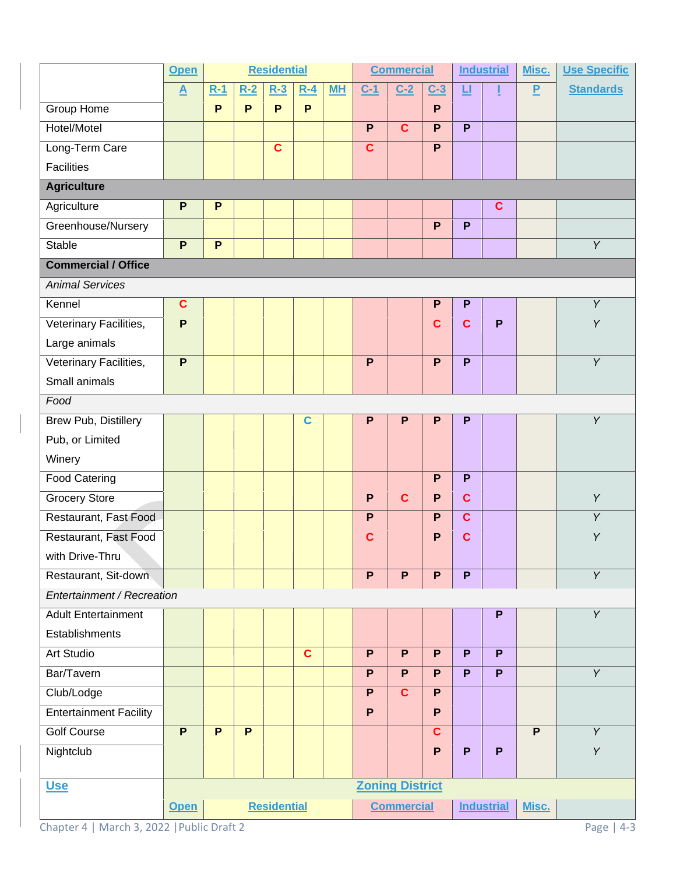|                               | <b>Open</b>     | <b>Residential</b> |       |                    | <b>Commercial</b> |           |                   | <b>Industrial</b>      |              | Misc.        | <b>Use Specific</b> |       |                  |
|-------------------------------|-----------------|--------------------|-------|--------------------|-------------------|-----------|-------------------|------------------------|--------------|--------------|---------------------|-------|------------------|
|                               | $\underline{A}$ | $R-1$              | $R-2$ | $R-3$              | $R - 4$           | <b>MH</b> | $C-1$             | $C-2$                  | $C-3$        | 旦            |                     | P     | <b>Standards</b> |
| Group Home                    |                 | P                  | P     | P                  | P.                |           |                   |                        | P            |              |                     |       |                  |
| Hotel/Motel                   |                 |                    |       |                    |                   |           | $\mathsf{P}$      | $\mathbf{C}$           | P            | P            |                     |       |                  |
| Long-Term Care                |                 |                    |       | $\mathbf c$        |                   |           | $\mathbf c$       |                        | $\mathsf{P}$ |              |                     |       |                  |
| <b>Facilities</b>             |                 |                    |       |                    |                   |           |                   |                        |              |              |                     |       |                  |
| <b>Agriculture</b>            |                 |                    |       |                    |                   |           |                   |                        |              |              |                     |       |                  |
| Agriculture                   | P               | P                  |       |                    |                   |           |                   |                        |              |              | $\mathbf c$         |       |                  |
| Greenhouse/Nursery            |                 |                    |       |                    |                   |           |                   |                        | P            | P            |                     |       |                  |
| <b>Stable</b>                 | P               | $\overline{P}$     |       |                    |                   |           |                   |                        |              |              |                     |       | $\overline{Y}$   |
| <b>Commercial / Office</b>    |                 |                    |       |                    |                   |           |                   |                        |              |              |                     |       |                  |
| <b>Animal Services</b>        |                 |                    |       |                    |                   |           |                   |                        |              |              |                     |       |                  |
| Kennel                        | $\mathbf c$     |                    |       |                    |                   |           |                   |                        | P            | P            |                     |       | Y                |
| Veterinary Facilities,        | $\mathsf{P}$    |                    |       |                    |                   |           |                   |                        | $\mathbf c$  | $\mathbf{C}$ | P                   |       | Y                |
| Large animals                 |                 |                    |       |                    |                   |           |                   |                        |              |              |                     |       |                  |
| Veterinary Facilities,        | $\mathsf{P}$    |                    |       |                    |                   |           | P                 |                        | P            | P            |                     |       | $\overline{Y}$   |
| Small animals                 |                 |                    |       |                    |                   |           |                   |                        |              |              |                     |       |                  |
| Food                          |                 |                    |       |                    |                   |           |                   |                        |              |              |                     |       |                  |
| Brew Pub, Distillery          |                 |                    |       |                    | $\mathbf{c}$      |           | P                 | P                      | P            | P            |                     |       | Y                |
| Pub, or Limited               |                 |                    |       |                    |                   |           |                   |                        |              |              |                     |       |                  |
| Winery                        |                 |                    |       |                    |                   |           |                   |                        |              |              |                     |       |                  |
| <b>Food Catering</b>          |                 |                    |       |                    |                   |           |                   |                        | P            | P            |                     |       |                  |
| <b>Grocery Store</b>          |                 |                    |       |                    |                   |           | $\mathsf{P}$      | $\mathbf{C}$           | P            | $\mathbf{C}$ |                     |       | Y                |
| Restaurant, Fast Food         |                 |                    |       |                    |                   |           | $\mathsf{P}$      |                        | P            | $\mathbf{C}$ |                     |       | Y                |
| Restaurant, Fast Food         |                 |                    |       |                    |                   |           | $\mathbf c$       |                        | P            | $\mathbf{C}$ |                     |       | Υ                |
| with Drive-Thru               |                 |                    |       |                    |                   |           |                   |                        |              |              |                     |       |                  |
| Restaurant, Sit-down          |                 |                    |       |                    |                   |           | P.                | P                      | P.           | P            |                     |       | Y                |
| Entertainment / Recreation    |                 |                    |       |                    |                   |           |                   |                        |              |              |                     |       |                  |
| <b>Adult Entertainment</b>    |                 |                    |       |                    |                   |           |                   |                        |              |              | P                   |       | $\overline{Y}$   |
| Establishments                |                 |                    |       |                    |                   |           |                   |                        |              |              |                     |       |                  |
| <b>Art Studio</b>             |                 |                    |       |                    | $\mathbf{C}$      |           | P                 | P                      | P            | P            | P                   |       |                  |
| Bar/Tavern                    |                 |                    |       |                    |                   |           | P                 | P                      | P            | P            | P                   |       | Y                |
| Club/Lodge                    |                 |                    |       |                    |                   |           | P                 | $\mathbf{C}$           | P            |              |                     |       |                  |
| <b>Entertainment Facility</b> |                 |                    |       |                    |                   |           | $\mathsf{P}$      |                        | $\mathsf{P}$ |              |                     |       |                  |
| <b>Golf Course</b>            | P               | P                  | P     |                    |                   |           |                   |                        | $\mathbf{C}$ |              |                     | P     | Y                |
| Nightclub                     |                 |                    |       |                    |                   |           |                   |                        | P            | P            | P                   |       | Y                |
|                               |                 |                    |       |                    |                   |           |                   |                        |              |              |                     |       |                  |
| <u>Use</u>                    |                 |                    |       |                    |                   |           |                   | <b>Zoning District</b> |              |              |                     |       |                  |
|                               | Open            |                    |       | <b>Residential</b> |                   |           | <b>Commercial</b> |                        |              |              | <b>Industrial</b>   | Misc. |                  |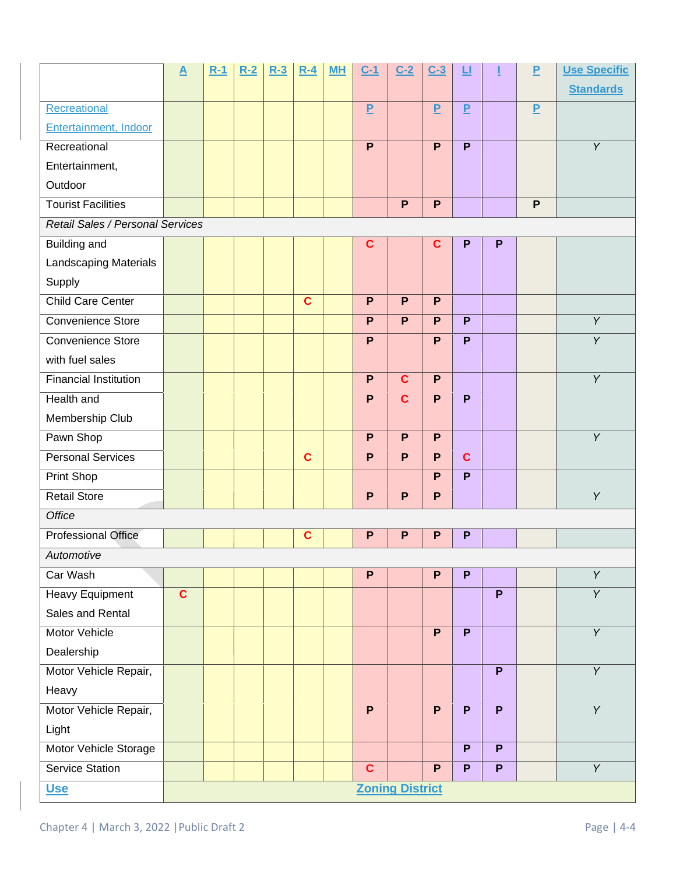|                                  | $\underline{\mathbf{A}}$ | $R-1$ | $R-2$ | $R-3$ | $R-4$        | ML | $C-1$          | $C-2$                  | $C-3$          | 旦            |   | P              | <b>Use Specific</b> |
|----------------------------------|--------------------------|-------|-------|-------|--------------|----|----------------|------------------------|----------------|--------------|---|----------------|---------------------|
|                                  |                          |       |       |       |              |    |                |                        |                |              |   |                | <b>Standards</b>    |
| Recreational                     |                          |       |       |       |              |    | $\overline{P}$ |                        | $\overline{P}$ | $\mathbf{P}$ |   | $\overline{P}$ |                     |
| Entertainment, Indoor            |                          |       |       |       |              |    |                |                        |                |              |   |                |                     |
| Recreational                     |                          |       |       |       |              |    | P              |                        | P              | P            |   |                | Y                   |
| Entertainment,                   |                          |       |       |       |              |    |                |                        |                |              |   |                |                     |
| Outdoor                          |                          |       |       |       |              |    |                |                        |                |              |   |                |                     |
| <b>Tourist Facilities</b>        |                          |       |       |       |              |    |                | P                      | P              |              |   | P              |                     |
| Retail Sales / Personal Services |                          |       |       |       |              |    |                |                        |                |              |   |                |                     |
| Building and                     |                          |       |       |       |              |    | $\mathbf c$    |                        | C              | P            | P |                |                     |
| Landscaping Materials            |                          |       |       |       |              |    |                |                        |                |              |   |                |                     |
| Supply                           |                          |       |       |       |              |    |                |                        |                |              |   |                |                     |
| <b>Child Care Center</b>         |                          |       |       |       | $\mathbf{C}$ |    | P              | P                      | P              |              |   |                |                     |
| <b>Convenience Store</b>         |                          |       |       |       |              |    | P              | P                      | P              | P            |   |                | Y                   |
| Convenience Store                |                          |       |       |       |              |    | P              |                        | P              | P            |   |                | Y                   |
| with fuel sales                  |                          |       |       |       |              |    |                |                        |                |              |   |                |                     |
| <b>Financial Institution</b>     |                          |       |       |       |              |    | P              | $\mathbf{C}$           | P              |              |   |                | Y                   |
| Health and                       |                          |       |       |       |              |    | P              | $\mathbf{C}$           | P              | P            |   |                |                     |
| Membership Club                  |                          |       |       |       |              |    |                |                        |                |              |   |                |                     |
| Pawn Shop                        |                          |       |       |       |              |    | P              | P                      | P              |              |   |                | $\overline{Y}$      |
| <b>Personal Services</b>         |                          |       |       |       | $\mathbf{C}$ |    | P              | P                      | P              | $\mathbf{C}$ |   |                |                     |
| <b>Print Shop</b>                |                          |       |       |       |              |    |                |                        | P              | P            |   |                |                     |
| <b>Retail Store</b>              |                          |       |       |       |              |    | P              | P                      | P              |              |   |                | Y                   |
| Office                           |                          |       |       |       |              |    |                |                        |                |              |   |                |                     |
| <b>Professional Office</b>       |                          |       |       |       | $\mathbf c$  |    | P              | P                      | P              | P            |   |                |                     |
| Automotive                       |                          |       |       |       |              |    |                |                        |                |              |   |                |                     |
| Car Wash                         |                          |       |       |       |              |    | $\mathsf{P}$   |                        | P              | P            |   |                | $\overline{Y}$      |
| <b>Heavy Equipment</b>           | $\mathbf c$              |       |       |       |              |    |                |                        |                |              | P |                | $\overline{Y}$      |
| Sales and Rental                 |                          |       |       |       |              |    |                |                        |                |              |   |                |                     |
| Motor Vehicle                    |                          |       |       |       |              |    |                |                        | P              | P            |   |                | Y                   |
| Dealership                       |                          |       |       |       |              |    |                |                        |                |              |   |                |                     |
| Motor Vehicle Repair,            |                          |       |       |       |              |    |                |                        |                |              | P |                | $\overline{Y}$      |
| Heavy                            |                          |       |       |       |              |    |                |                        |                |              |   |                |                     |
| Motor Vehicle Repair,            |                          |       |       |       |              |    | P              |                        | $\overline{P}$ | P            | P |                | Y                   |
| Light                            |                          |       |       |       |              |    |                |                        |                |              |   |                |                     |
| Motor Vehicle Storage            |                          |       |       |       |              |    |                |                        |                | P            | P |                |                     |
| <b>Service Station</b>           |                          |       |       |       |              |    | $\mathbf{C}$   |                        | P              | P            | P |                | Y                   |
| <u>Use</u>                       |                          |       |       |       |              |    |                | <b>Zoning District</b> |                |              |   |                |                     |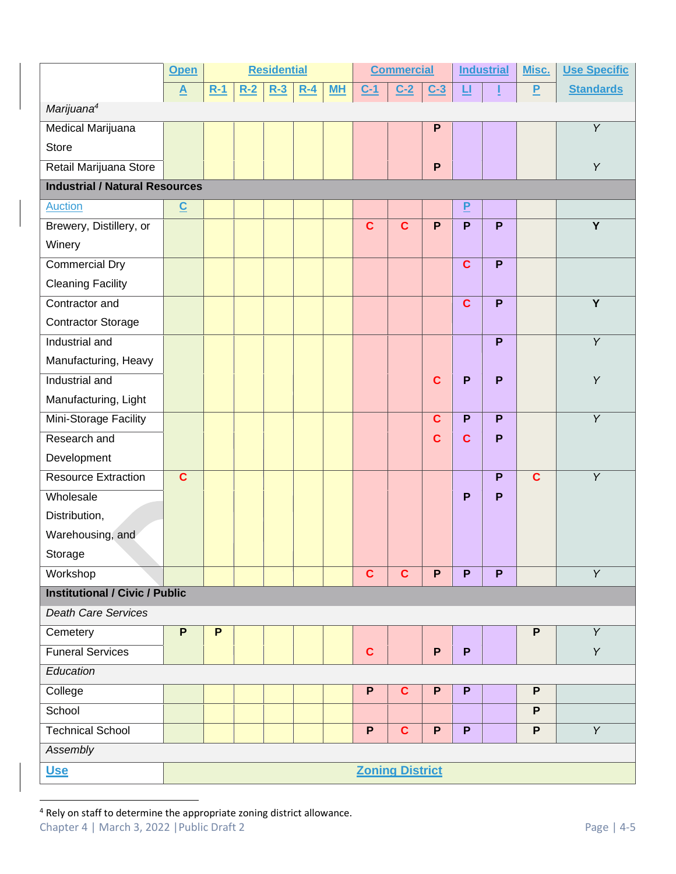|                                       | Open                     | <b>Residential</b> |       |       |       | <b>Commercial</b> |             |                        | <b>Industrial</b> |                | Misc. | <b>Use Specific</b> |                  |
|---------------------------------------|--------------------------|--------------------|-------|-------|-------|-------------------|-------------|------------------------|-------------------|----------------|-------|---------------------|------------------|
|                                       | $\overline{\mathbf{A}}$  | $R-1$              | $R-2$ | $R-3$ | $R-4$ | <b>MH</b>         | $C-1$       | $C-2$                  | $C-3$             | 旦              |       | $\overline{P}$      | <b>Standards</b> |
| Marijuana <sup>4</sup>                |                          |                    |       |       |       |                   |             |                        |                   |                |       |                     |                  |
| Medical Marijuana                     |                          |                    |       |       |       |                   |             |                        | P                 |                |       |                     | Y                |
| Store                                 |                          |                    |       |       |       |                   |             |                        |                   |                |       |                     |                  |
| Retail Marijuana Store                |                          |                    |       |       |       |                   |             |                        | $\mathsf{P}$      |                |       |                     | $\overline{Y}$   |
| <b>Industrial / Natural Resources</b> |                          |                    |       |       |       |                   |             |                        |                   |                |       |                     |                  |
| <b>Auction</b>                        | $\underline{\mathbf{C}}$ |                    |       |       |       |                   |             |                        |                   | $\overline{P}$ |       |                     |                  |
| Brewery, Distillery, or               |                          |                    |       |       |       |                   | $\mathbf c$ | $\overline{c}$         | P                 | P              | P     |                     | $\overline{Y}$   |
| Winery                                |                          |                    |       |       |       |                   |             |                        |                   |                |       |                     |                  |
| <b>Commercial Dry</b>                 |                          |                    |       |       |       |                   |             |                        |                   | $\mathbf{C}$   | P     |                     |                  |
| <b>Cleaning Facility</b>              |                          |                    |       |       |       |                   |             |                        |                   |                |       |                     |                  |
| Contractor and                        |                          |                    |       |       |       |                   |             |                        |                   | $\mathbf c$    | P     |                     | Y                |
| <b>Contractor Storage</b>             |                          |                    |       |       |       |                   |             |                        |                   |                |       |                     |                  |
| Industrial and                        |                          |                    |       |       |       |                   |             |                        |                   |                | P     |                     | $\overline{Y}$   |
| Manufacturing, Heavy                  |                          |                    |       |       |       |                   |             |                        |                   |                |       |                     |                  |
| Industrial and                        |                          |                    |       |       |       |                   |             |                        | $\mathbf{C}$      | P              | P     |                     | Y                |
| Manufacturing, Light                  |                          |                    |       |       |       |                   |             |                        |                   |                |       |                     |                  |
| Mini-Storage Facility                 |                          |                    |       |       |       |                   |             |                        | $\mathbf{C}$      | P              | P     |                     | Y                |
| Research and                          |                          |                    |       |       |       |                   |             |                        | $\mathbf{C}$      | $\mathbf{C}$   | P     |                     |                  |
| Development                           |                          |                    |       |       |       |                   |             |                        |                   |                |       |                     |                  |
| <b>Resource Extraction</b>            | $\mathbf c$              |                    |       |       |       |                   |             |                        |                   |                | P     | $\overline{c}$      | Y                |
| Wholesale                             |                          |                    |       |       |       |                   |             |                        |                   | P              | P     |                     |                  |
| Distribution,                         |                          |                    |       |       |       |                   |             |                        |                   |                |       |                     |                  |
| Warehousing, and                      |                          |                    |       |       |       |                   |             |                        |                   |                |       |                     |                  |
| Storage                               |                          |                    |       |       |       |                   |             |                        |                   |                |       |                     |                  |
| Workshop                              |                          |                    |       |       |       |                   | $\mathbf c$ | $\mathbf{C}$           | P                 | P              | P     |                     | $\overline{Y}$   |
| <b>Institutional / Civic / Public</b> |                          |                    |       |       |       |                   |             |                        |                   |                |       |                     |                  |
| <b>Death Care Services</b>            |                          |                    |       |       |       |                   |             |                        |                   |                |       |                     |                  |
| Cemetery                              | $\overline{P}$           | P                  |       |       |       |                   |             |                        |                   |                |       | $\overline{P}$      | $\overline{Y}$   |
| <b>Funeral Services</b>               |                          |                    |       |       |       |                   | $\mathbf c$ |                        | P                 | P              |       |                     | Y                |
| Education                             |                          |                    |       |       |       |                   |             |                        |                   |                |       |                     |                  |
| College                               |                          |                    |       |       |       |                   | P           | $\mathbf c$            | P                 | P              |       | $\mathsf{P}$        |                  |
| School                                |                          |                    |       |       |       |                   |             |                        |                   |                |       | $\mathsf{P}$        |                  |
| <b>Technical School</b>               |                          |                    |       |       |       |                   | P           | $\mathbf{C}$           | P                 | P              |       | $\mathsf{P}$        | Y                |
| Assembly                              |                          |                    |       |       |       |                   |             |                        |                   |                |       |                     |                  |
| <b>Use</b>                            |                          |                    |       |       |       |                   |             | <b>Zoning District</b> |                   |                |       |                     |                  |

<sup>4</sup> Rely on staff to determine the appropriate zoning district allowance.

Chapter 4 | March 3, 2022 | Public Draft 2 Page | 4-5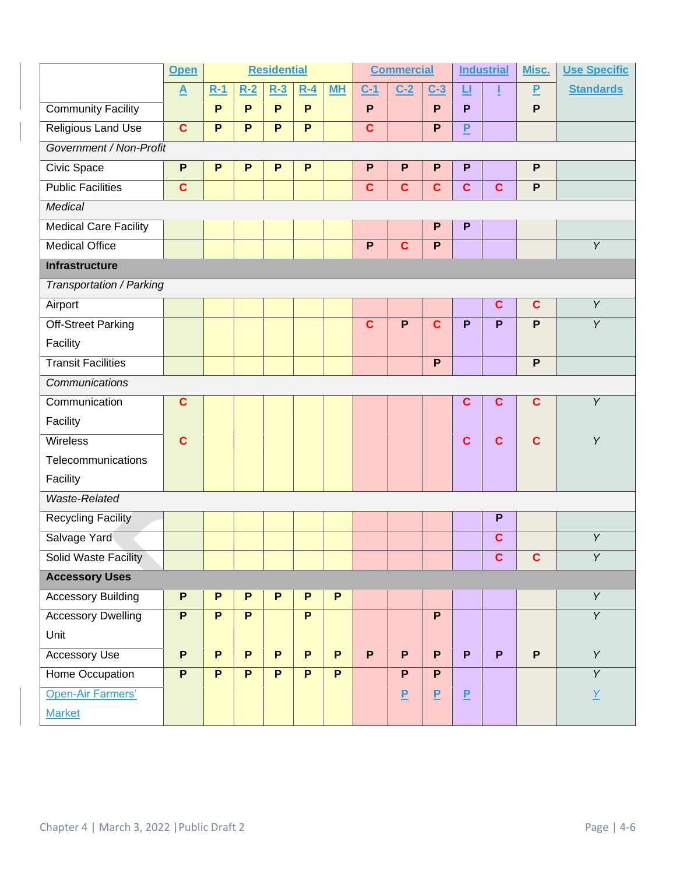|                              | <b>Open</b>              | <b>Residential</b> |                |                |              | <b>Commercial</b> |              |                | <b>Industrial</b> |                | Misc.        | <b>Use Specific</b> |                  |
|------------------------------|--------------------------|--------------------|----------------|----------------|--------------|-------------------|--------------|----------------|-------------------|----------------|--------------|---------------------|------------------|
|                              | $\underline{\mathbf{A}}$ | $R-1$              | $R-2$          | $R-3$          | $R-4$        | <b>MH</b>         | $C-1$        | $C-2$          | $C-3$             | 旦              |              | P                   | <b>Standards</b> |
| <b>Community Facility</b>    |                          | P                  | P              | P              | P            |                   | P            |                | P                 | P              |              | $\mathsf{P}$        |                  |
| Religious Land Use           | $\mathbf c$              | P                  | $\mathsf{P}$   | P              | $\mathsf{P}$ |                   | $\mathbf c$  |                | P                 | P              |              |                     |                  |
| Government / Non-Profit      |                          |                    |                |                |              |                   |              |                |                   |                |              |                     |                  |
| Civic Space                  | P                        | P                  | $\mathsf{P}$   | P              | P            |                   | ${\sf P}$    | P              | P                 | P              |              | P                   |                  |
| <b>Public Facilities</b>     | $\mathbf c$              |                    |                |                |              |                   | $\mathbf c$  | $\mathbf c$    | $\mathbf c$       | $\mathbf c$    | $\mathbf c$  | $\mathsf{P}$        |                  |
| Medical                      |                          |                    |                |                |              |                   |              |                |                   |                |              |                     |                  |
| <b>Medical Care Facility</b> |                          |                    |                |                |              |                   |              |                | $\mathsf{P}$      | P              |              |                     |                  |
| <b>Medical Office</b>        |                          |                    |                |                |              |                   | $\mathsf{P}$ | $\mathbf c$    | $\mathsf{P}$      |                |              |                     | Y                |
| <b>Infrastructure</b>        |                          |                    |                |                |              |                   |              |                |                   |                |              |                     |                  |
| Transportation / Parking     |                          |                    |                |                |              |                   |              |                |                   |                |              |                     |                  |
| Airport                      |                          |                    |                |                |              |                   |              |                |                   |                | $\mathbf c$  | $\mathbf{C}$        | Y                |
| <b>Off-Street Parking</b>    |                          |                    |                |                |              |                   | $\mathbf c$  | P              | $\overline{c}$    | P              | P            | P                   | Y                |
| Facility                     |                          |                    |                |                |              |                   |              |                |                   |                |              |                     |                  |
| <b>Transit Facilities</b>    |                          |                    |                |                |              |                   |              |                | P                 |                |              | $\mathsf{P}$        |                  |
| Communications               |                          |                    |                |                |              |                   |              |                |                   |                |              |                     |                  |
| Communication                | C                        |                    |                |                |              |                   |              |                |                   | $\mathbf c$    | $\mathbf c$  | $\mathbf{C}$        | Y                |
| Facility                     |                          |                    |                |                |              |                   |              |                |                   |                |              |                     |                  |
| <b>Wireless</b>              | C                        |                    |                |                |              |                   |              |                |                   | $\mathbf c$    | $\mathbf c$  | $\mathbf{C}$        | Y                |
| Telecommunications           |                          |                    |                |                |              |                   |              |                |                   |                |              |                     |                  |
| Facility                     |                          |                    |                |                |              |                   |              |                |                   |                |              |                     |                  |
| Waste-Related                |                          |                    |                |                |              |                   |              |                |                   |                |              |                     |                  |
| <b>Recycling Facility</b>    |                          |                    |                |                |              |                   |              |                |                   |                | P            |                     |                  |
| Salvage Yard                 |                          |                    |                |                |              |                   |              |                |                   |                | C            |                     | Y                |
| <b>Solid Waste Facility</b>  |                          |                    |                |                |              |                   |              |                |                   |                | $\mathbf{C}$ | $\mathbf{C}$        | Y                |
| <b>Accessory Uses</b>        |                          |                    |                |                |              |                   |              |                |                   |                |              |                     |                  |
| <b>Accessory Building</b>    | P                        | $\mathsf{P}$       | P              | P              | P            | P                 |              |                |                   |                |              |                     | $\overline{Y}$   |
| <b>Accessory Dwelling</b>    | P                        | $\overline{P}$     | $\overline{P}$ |                | P.           |                   |              |                | $\overline{P}$    |                |              |                     | $\overline{Y}$   |
| Unit                         |                          |                    |                |                |              |                   |              |                |                   |                |              |                     |                  |
| <b>Accessory Use</b>         | P                        | $\overline{P}$     | $\overline{P}$ | $\overline{P}$ | P.           | P                 | P            | P.             | $\overline{P}$    | P              | P            | $\overline{P}$      | $\overline{Y}$   |
| Home Occupation              | P                        | $\mathsf{P}$       | P              | P              | P.           | P.                |              | P.             | P.                |                |              |                     | $\overline{Y}$   |
| Open-Air Farmers'            |                          |                    |                |                |              |                   |              | $\overline{P}$ | $\overline{P}$    | $\overline{P}$ |              |                     | $\overline{Y}$   |
| <b>Market</b>                |                          |                    |                |                |              |                   |              |                |                   |                |              |                     |                  |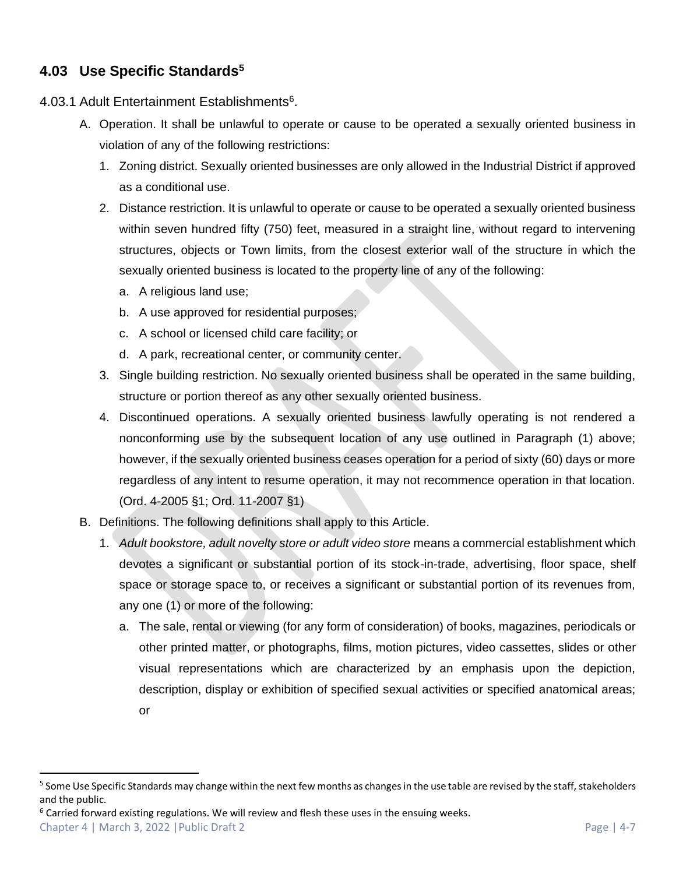# **4.03 Use Specific Standards<sup>5</sup>**

- 4.03.1 Adult Entertainment Establishments<sup>6</sup>.
	- A. Operation. It shall be unlawful to operate or cause to be operated a sexually oriented business in violation of any of the following restrictions:
		- 1. Zoning district. Sexually oriented businesses are only allowed in the Industrial District if approved as a conditional use.
		- 2. Distance restriction. It is unlawful to operate or cause to be operated a sexually oriented business within seven hundred fifty (750) feet, measured in a straight line, without regard to intervening structures, objects or Town limits, from the closest exterior wall of the structure in which the sexually oriented business is located to the property line of any of the following:
			- a. A religious land use;
			- b. A use approved for residential purposes;
			- c. A school or licensed child care facility; or
			- d. A park, recreational center, or community center.
		- 3. Single building restriction. No sexually oriented business shall be operated in the same building, structure or portion thereof as any other sexually oriented business.
		- 4. Discontinued operations. A sexually oriented business lawfully operating is not rendered a nonconforming use by the subsequent location of any use outlined in Paragraph (1) above; however, if the sexually oriented business ceases operation for a period of sixty (60) days or more regardless of any intent to resume operation, it may not recommence operation in that location. (Ord. 4-2005 §1; Ord. 11-2007 §1)
	- B. Definitions. The following definitions shall apply to this Article.
		- 1. *Adult bookstore, adult novelty store or adult video store* means a commercial establishment which devotes a significant or substantial portion of its stock-in-trade, advertising, floor space, shelf space or storage space to, or receives a significant or substantial portion of its revenues from, any one (1) or more of the following:
			- a. The sale, rental or viewing (for any form of consideration) of books, magazines, periodicals or other printed matter, or photographs, films, motion pictures, video cassettes, slides or other visual representations which are characterized by an emphasis upon the depiction, description, display or exhibition of specified sexual activities or specified anatomical areas; or

<sup>&</sup>lt;sup>5</sup> Some Use Specific Standards may change within the next few months as changes in the use table are revised by the staff, stakeholders and the public.

 $6$  Carried forward existing regulations. We will review and flesh these uses in the ensuing weeks.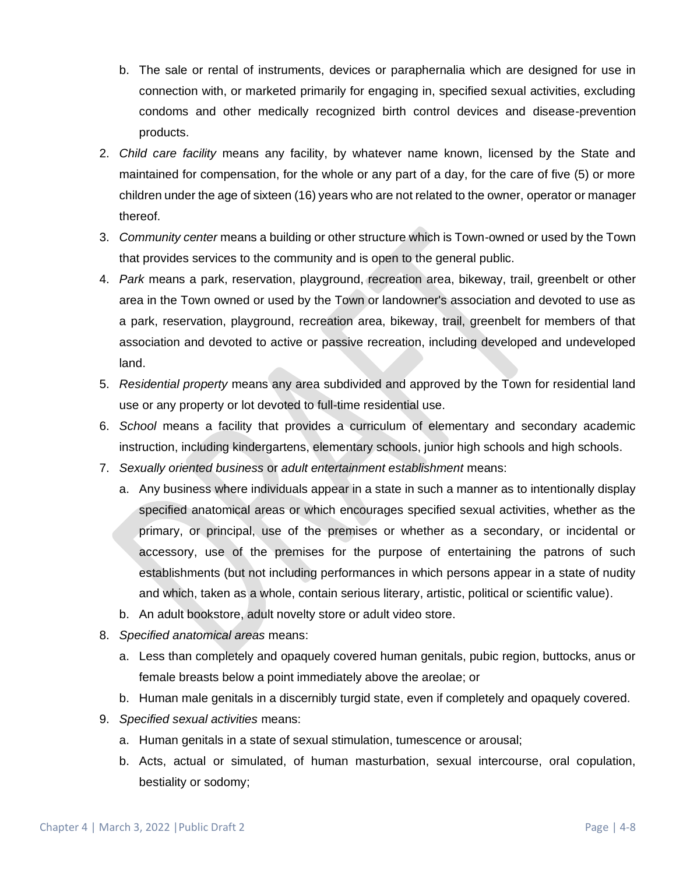- b. The sale or rental of instruments, devices or paraphernalia which are designed for use in connection with, or marketed primarily for engaging in, specified sexual activities, excluding condoms and other medically recognized birth control devices and disease-prevention products.
- 2. *Child care facility* means any facility, by whatever name known, licensed by the State and maintained for compensation, for the whole or any part of a day, for the care of five (5) or more children under the age of sixteen (16) years who are not related to the owner, operator or manager thereof.
- 3. *Community center* means a building or other structure which is Town-owned or used by the Town that provides services to the community and is open to the general public.
- 4. *Park* means a park, reservation, playground, recreation area, bikeway, trail, greenbelt or other area in the Town owned or used by the Town or landowner's association and devoted to use as a park, reservation, playground, recreation area, bikeway, trail, greenbelt for members of that association and devoted to active or passive recreation, including developed and undeveloped land.
- 5. *Residential property* means any area subdivided and approved by the Town for residential land use or any property or lot devoted to full-time residential use.
- 6. *School* means a facility that provides a curriculum of elementary and secondary academic instruction, including kindergartens, elementary schools, junior high schools and high schools.
- 7. *Sexually oriented business* or *adult entertainment establishment* means:
	- a. Any business where individuals appear in a state in such a manner as to intentionally display specified anatomical areas or which encourages specified sexual activities, whether as the primary, or principal, use of the premises or whether as a secondary, or incidental or accessory, use of the premises for the purpose of entertaining the patrons of such establishments (but not including performances in which persons appear in a state of nudity and which, taken as a whole, contain serious literary, artistic, political or scientific value).
	- b. An adult bookstore, adult novelty store or adult video store.
- 8. *Specified anatomical areas* means:
	- a. Less than completely and opaquely covered human genitals, pubic region, buttocks, anus or female breasts below a point immediately above the areolae; or
	- b. Human male genitals in a discernibly turgid state, even if completely and opaquely covered.
- 9. *Specified sexual activities* means:
	- a. Human genitals in a state of sexual stimulation, tumescence or arousal;
	- b. Acts, actual or simulated, of human masturbation, sexual intercourse, oral copulation, bestiality or sodomy;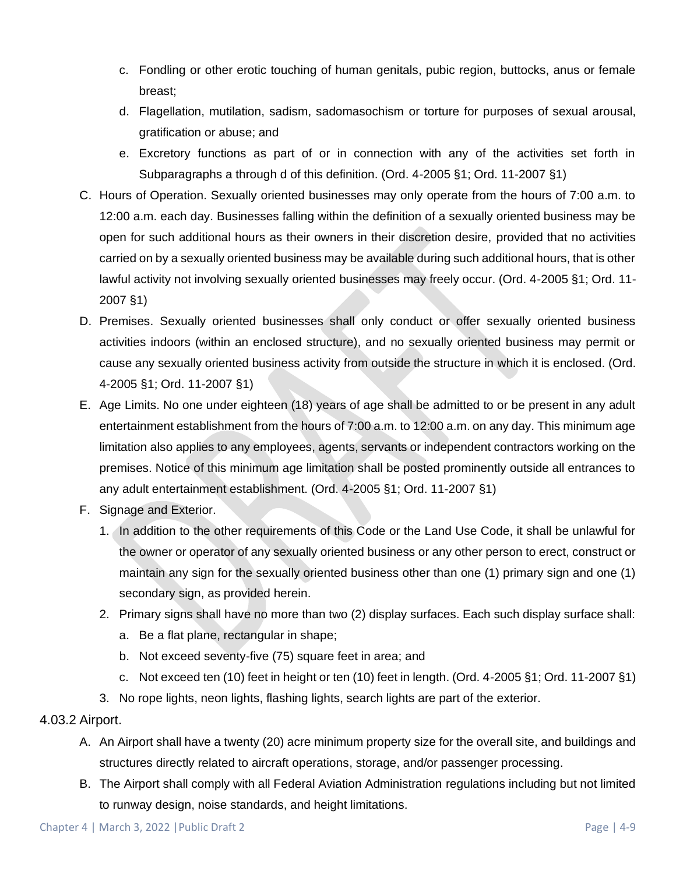- c. Fondling or other erotic touching of human genitals, pubic region, buttocks, anus or female breast;
- d. Flagellation, mutilation, sadism, sadomasochism or torture for purposes of sexual arousal, gratification or abuse; and
- e. Excretory functions as part of or in connection with any of the activities set forth in Subparagraphs a through d of this definition. (Ord. 4-2005 §1; Ord. 11-2007 §1)
- C. Hours of Operation. Sexually oriented businesses may only operate from the hours of 7:00 a.m. to 12:00 a.m. each day. Businesses falling within the definition of a sexually oriented business may be open for such additional hours as their owners in their discretion desire, provided that no activities carried on by a sexually oriented business may be available during such additional hours, that is other lawful activity not involving sexually oriented businesses may freely occur. (Ord. 4-2005 §1; Ord. 11- 2007 §1)
- D. Premises. Sexually oriented businesses shall only conduct or offer sexually oriented business activities indoors (within an enclosed structure), and no sexually oriented business may permit or cause any sexually oriented business activity from outside the structure in which it is enclosed. (Ord. 4-2005 §1; Ord. 11-2007 §1)
- E. Age Limits. No one under eighteen (18) years of age shall be admitted to or be present in any adult entertainment establishment from the hours of 7:00 a.m. to 12:00 a.m. on any day. This minimum age limitation also applies to any employees, agents, servants or independent contractors working on the premises. Notice of this minimum age limitation shall be posted prominently outside all entrances to any adult entertainment establishment. (Ord. 4-2005 §1; Ord. 11-2007 §1)
- F. Signage and Exterior.
	- 1. In addition to the other requirements of this Code or the Land Use Code, it shall be unlawful for the owner or operator of any sexually oriented business or any other person to erect, construct or maintain any sign for the sexually oriented business other than one (1) primary sign and one (1) secondary sign, as provided herein.
	- 2. Primary signs shall have no more than two (2) display surfaces. Each such display surface shall:
		- a. Be a flat plane, rectangular in shape;
		- b. Not exceed seventy-five (75) square feet in area; and
		- c. Not exceed ten (10) feet in height or ten (10) feet in length. (Ord. 4-2005 §1; Ord. 11-2007 §1)
	- 3. No rope lights, neon lights, flashing lights, search lights are part of the exterior.

### 4.03.2 Airport.

- A. An Airport shall have a twenty (20) acre minimum property size for the overall site, and buildings and structures directly related to aircraft operations, storage, and/or passenger processing.
- B. The Airport shall comply with all Federal Aviation Administration regulations including but not limited to runway design, noise standards, and height limitations.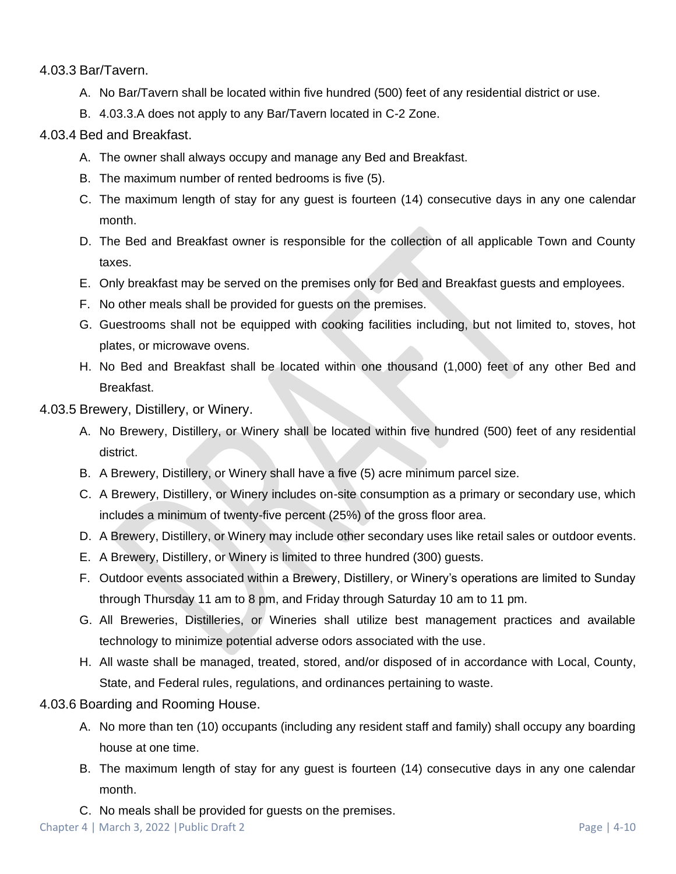4.03.3 Bar/Tavern.

- A. No Bar/Tavern shall be located within five hundred (500) feet of any residential district or use.
- B. 4.03.3.A does not apply to any Bar/Tavern located in C-2 Zone.

## 4.03.4 Bed and Breakfast.

- A. The owner shall always occupy and manage any Bed and Breakfast.
- B. The maximum number of rented bedrooms is five (5).
- C. The maximum length of stay for any guest is fourteen (14) consecutive days in any one calendar month.
- D. The Bed and Breakfast owner is responsible for the collection of all applicable Town and County taxes.
- E. Only breakfast may be served on the premises only for Bed and Breakfast guests and employees.
- F. No other meals shall be provided for guests on the premises.
- G. Guestrooms shall not be equipped with cooking facilities including, but not limited to, stoves, hot plates, or microwave ovens.
- H. No Bed and Breakfast shall be located within one thousand (1,000) feet of any other Bed and Breakfast.

4.03.5 Brewery, Distillery, or Winery.

- A. No Brewery, Distillery, or Winery shall be located within five hundred (500) feet of any residential district.
- B. A Brewery, Distillery, or Winery shall have a five (5) acre minimum parcel size.
- C. A Brewery, Distillery, or Winery includes on-site consumption as a primary or secondary use, which includes a minimum of twenty-five percent (25%) of the gross floor area.
- D. A Brewery, Distillery, or Winery may include other secondary uses like retail sales or outdoor events.
- E. A Brewery, Distillery, or Winery is limited to three hundred (300) guests.
- F. Outdoor events associated within a Brewery, Distillery, or Winery's operations are limited to Sunday through Thursday 11 am to 8 pm, and Friday through Saturday 10 am to 11 pm.
- G. All Breweries, Distilleries, or Wineries shall utilize best management practices and available technology to minimize potential adverse odors associated with the use.
- H. All waste shall be managed, treated, stored, and/or disposed of in accordance with Local, County, State, and Federal rules, regulations, and ordinances pertaining to waste.

4.03.6 Boarding and Rooming House.

- A. No more than ten (10) occupants (including any resident staff and family) shall occupy any boarding house at one time.
- B. The maximum length of stay for any guest is fourteen (14) consecutive days in any one calendar month.
- C. No meals shall be provided for guests on the premises.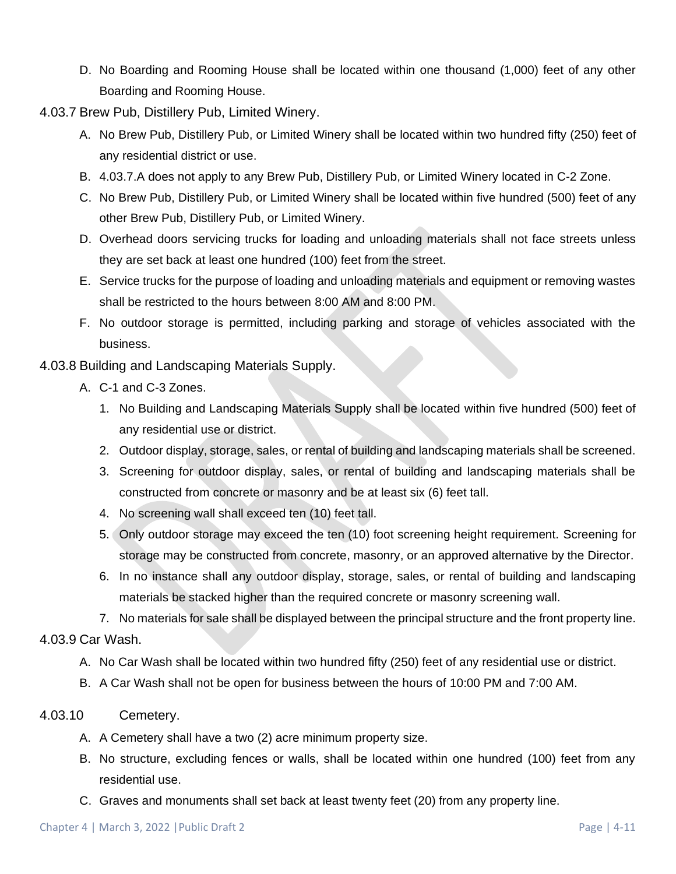- D. No Boarding and Rooming House shall be located within one thousand (1,000) feet of any other Boarding and Rooming House.
- 4.03.7 Brew Pub, Distillery Pub, Limited Winery.
	- A. No Brew Pub, Distillery Pub, or Limited Winery shall be located within two hundred fifty (250) feet of any residential district or use.
	- B. 4.03.7.A does not apply to any Brew Pub, Distillery Pub, or Limited Winery located in C-2 Zone.
	- C. No Brew Pub, Distillery Pub, or Limited Winery shall be located within five hundred (500) feet of any other Brew Pub, Distillery Pub, or Limited Winery.
	- D. Overhead doors servicing trucks for loading and unloading materials shall not face streets unless they are set back at least one hundred (100) feet from the street.
	- E. Service trucks for the purpose of loading and unloading materials and equipment or removing wastes shall be restricted to the hours between 8:00 AM and 8:00 PM.
	- F. No outdoor storage is permitted, including parking and storage of vehicles associated with the business.
- 4.03.8 Building and Landscaping Materials Supply.
	- A. C-1 and C-3 Zones.
		- 1. No Building and Landscaping Materials Supply shall be located within five hundred (500) feet of any residential use or district.
		- 2. Outdoor display, storage, sales, or rental of building and landscaping materials shall be screened.
		- 3. Screening for outdoor display, sales, or rental of building and landscaping materials shall be constructed from concrete or masonry and be at least six (6) feet tall.
		- 4. No screening wall shall exceed ten (10) feet tall.
		- 5. Only outdoor storage may exceed the ten (10) foot screening height requirement. Screening for storage may be constructed from concrete, masonry, or an approved alternative by the Director.
		- 6. In no instance shall any outdoor display, storage, sales, or rental of building and landscaping materials be stacked higher than the required concrete or masonry screening wall.

7. No materials for sale shall be displayed between the principal structure and the front property line. 4.03.9 Car Wash.

- - A. No Car Wash shall be located within two hundred fifty (250) feet of any residential use or district.
	- B. A Car Wash shall not be open for business between the hours of 10:00 PM and 7:00 AM.
- <span id="page-10-0"></span>4.03.10 Cemetery.
	- A. A Cemetery shall have a two (2) acre minimum property size.
	- B. No structure, excluding fences or walls, shall be located within one hundred (100) feet from any residential use.
	- C. Graves and monuments shall set back at least twenty feet (20) from any property line.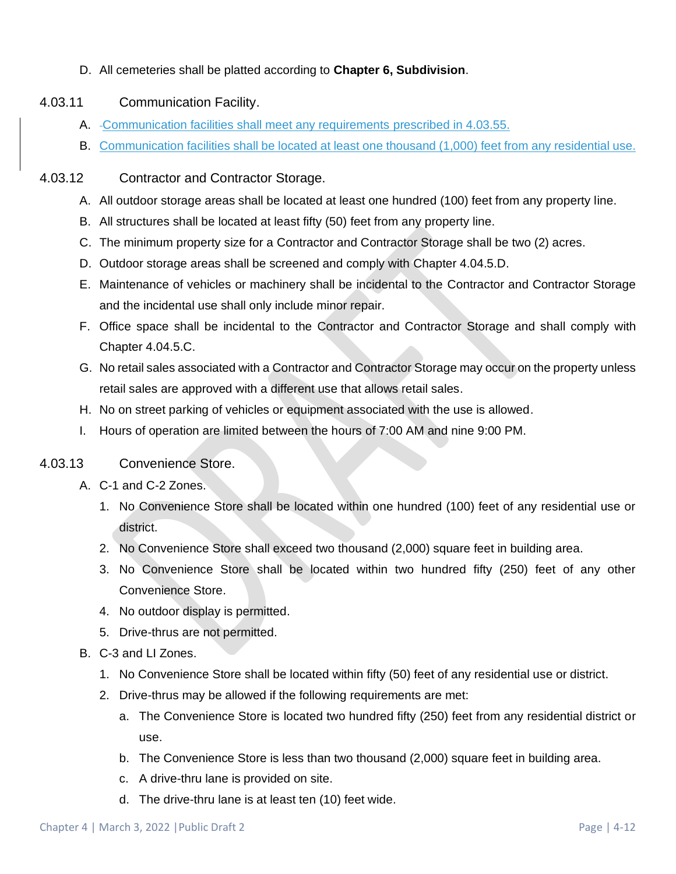D. All cemeteries shall be platted according to **Chapter 6, Subdivision**.

## 4.03.11 Communication Facility.

- A. Communication facilities shall meet any requirements prescribed in 4.03.55.
- B. Communication facilities shall be located at least one thousand (1,000) feet from any residential use.

## 4.03.12 Contractor and Contractor Storage.

- A. All outdoor storage areas shall be located at least one hundred (100) feet from any property line.
- B. All structures shall be located at least fifty (50) feet from any property line.
- C. The minimum property size for a Contractor and Contractor Storage shall be two (2) acres.
- D. Outdoor storage areas shall be screened and comply with Chapter 4.04.5[.D.](#page-33-0)
- E. Maintenance of vehicles or machinery shall be incidental to the Contractor and Contractor Storage and the incidental use shall only include minor repair.
- F. Office space shall be incidental to the Contractor and Contractor Storage and shall comply with Chapter 4.04.5[.C.](#page-32-0)
- G. No retail sales associated with a Contractor and Contractor Storage may occur on the property unless retail sales are approved with a different use that allows retail sales.
- H. No on street parking of vehicles or equipment associated with the use is allowed.
- I. Hours of operation are limited between the hours of 7:00 AM and nine 9:00 PM.

# 4.03.13 Convenience Store.

- A. C-1 and C-2 Zones.
	- 1. No Convenience Store shall be located within one hundred (100) feet of any residential use or district.
	- 2. No Convenience Store shall exceed two thousand (2,000) square feet in building area.
	- 3. No Convenience Store shall be located within two hundred fifty (250) feet of any other Convenience Store.
	- 4. No outdoor display is permitted.
	- 5. Drive-thrus are not permitted.
- B. C-3 and LI Zones.
	- 1. No Convenience Store shall be located within fifty (50) feet of any residential use or district.
	- 2. Drive-thrus may be allowed if the following requirements are met:
		- a. The Convenience Store is located two hundred fifty (250) feet from any residential district or use.
		- b. The Convenience Store is less than two thousand (2,000) square feet in building area.
		- c. A drive-thru lane is provided on site.
		- d. The drive-thru lane is at least ten (10) feet wide.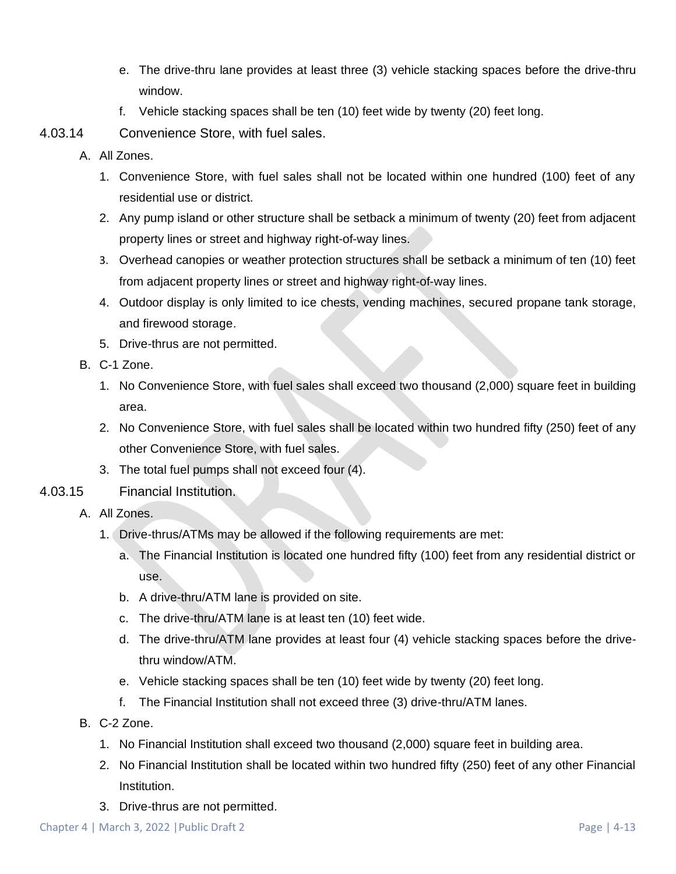- e. The drive-thru lane provides at least three (3) vehicle stacking spaces before the drive-thru window.
- f. Vehicle stacking spaces shall be ten (10) feet wide by twenty (20) feet long.
- 4.03.14 Convenience Store, with fuel sales.
	- A. All Zones.
		- 1. Convenience Store, with fuel sales shall not be located within one hundred (100) feet of any residential use or district.
		- 2. Any pump island or other structure shall be setback a minimum of twenty (20) feet from adjacent property lines or street and highway right-of-way lines.
		- 3. Overhead canopies or weather protection structures shall be setback a minimum of ten (10) feet from adjacent property lines or street and highway right-of-way lines.
		- 4. Outdoor display is only limited to ice chests, vending machines, secured propane tank storage, and firewood storage.
		- 5. Drive-thrus are not permitted.
	- B. C-1 Zone.
		- 1. No Convenience Store, with fuel sales shall exceed two thousand (2,000) square feet in building area.
		- 2. No Convenience Store, with fuel sales shall be located within two hundred fifty (250) feet of any other Convenience Store, with fuel sales.
		- 3. The total fuel pumps shall not exceed four (4).
- 4.03.15 Financial Institution.
	- A. All Zones.
		- 1. Drive-thrus/ATMs may be allowed if the following requirements are met:
			- a. The Financial Institution is located one hundred fifty (100) feet from any residential district or use.
			- b. A drive-thru/ATM lane is provided on site.
			- c. The drive-thru/ATM lane is at least ten (10) feet wide.
			- d. The drive-thru/ATM lane provides at least four (4) vehicle stacking spaces before the drivethru window/ATM.
			- e. Vehicle stacking spaces shall be ten (10) feet wide by twenty (20) feet long.
			- f. The Financial Institution shall not exceed three (3) drive-thru/ATM lanes.
	- B. C-2 Zone.
		- 1. No Financial Institution shall exceed two thousand (2,000) square feet in building area.
		- 2. No Financial Institution shall be located within two hundred fifty (250) feet of any other Financial Institution.
		- 3. Drive-thrus are not permitted.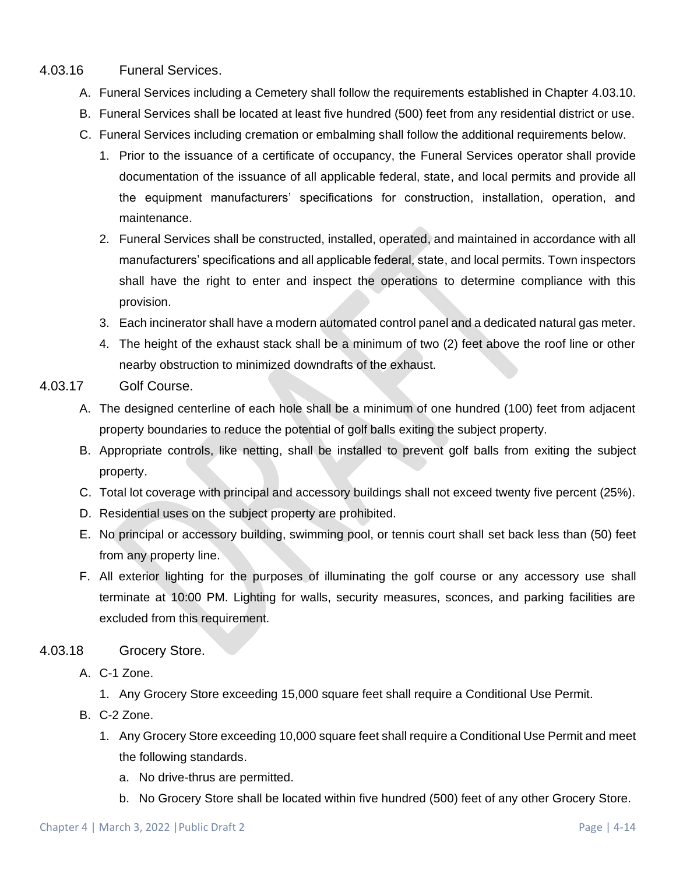#### 4.03.16 Funeral Services.

- A. Funeral Services including a Cemetery shall follow the requirements established in Chapter [4.03.10.](#page-10-0)
- B. Funeral Services shall be located at least five hundred (500) feet from any residential district or use.
- C. Funeral Services including cremation or embalming shall follow the additional requirements below.
	- 1. Prior to the issuance of a certificate of occupancy, the Funeral Services operator shall provide documentation of the issuance of all applicable federal, state, and local permits and provide all the equipment manufacturers' specifications for construction, installation, operation, and maintenance.
	- 2. Funeral Services shall be constructed, installed, operated, and maintained in accordance with all manufacturers' specifications and all applicable federal, state, and local permits. Town inspectors shall have the right to enter and inspect the operations to determine compliance with this provision.
	- 3. Each incinerator shall have a modern automated control panel and a dedicated natural gas meter.
	- 4. The height of the exhaust stack shall be a minimum of two (2) feet above the roof line or other nearby obstruction to minimized downdrafts of the exhaust.
- 4.03.17 Golf Course.
	- A. The designed centerline of each hole shall be a minimum of one hundred (100) feet from adjacent property boundaries to reduce the potential of golf balls exiting the subject property.
	- B. Appropriate controls, like netting, shall be installed to prevent golf balls from exiting the subject property.
	- C. Total lot coverage with principal and accessory buildings shall not exceed twenty five percent (25%).
	- D. Residential uses on the subject property are prohibited.
	- E. No principal or accessory building, swimming pool, or tennis court shall set back less than (50) feet from any property line.
	- F. All exterior lighting for the purposes of illuminating the golf course or any accessory use shall terminate at 10:00 PM. Lighting for walls, security measures, sconces, and parking facilities are excluded from this requirement.

### 4.03.18 Grocery Store.

A. C-1 Zone.

- 1. Any Grocery Store exceeding 15,000 square feet shall require a Conditional Use Permit.
- B. C-2 Zone.
	- 1. Any Grocery Store exceeding 10,000 square feet shall require a Conditional Use Permit and meet the following standards.
		- a. No drive-thrus are permitted.
		- b. No Grocery Store shall be located within five hundred (500) feet of any other Grocery Store.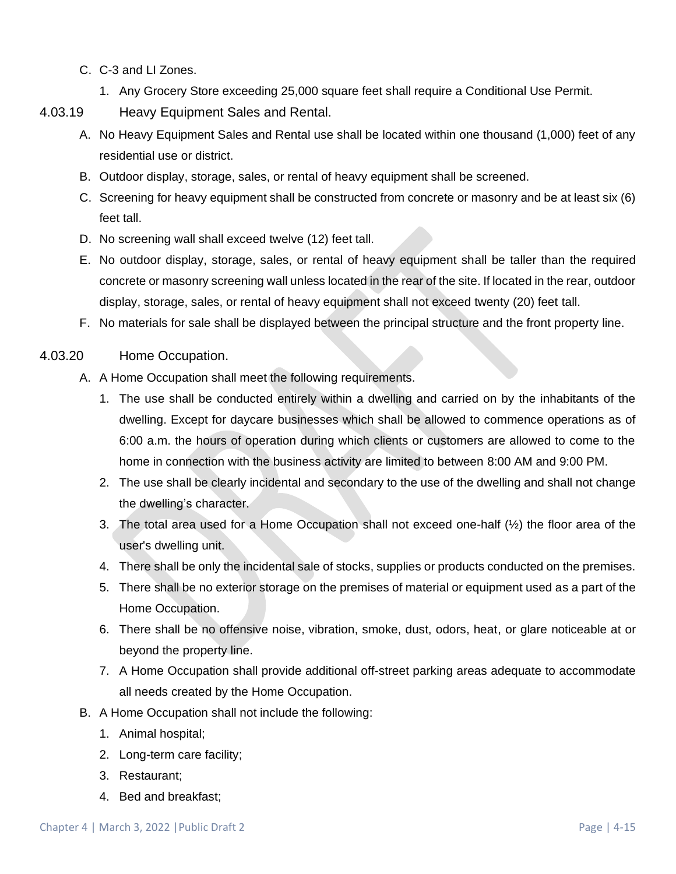- C. C-3 and LI Zones.
	- 1. Any Grocery Store exceeding 25,000 square feet shall require a Conditional Use Permit.
- 4.03.19 Heavy Equipment Sales and Rental.
	- A. No Heavy Equipment Sales and Rental use shall be located within one thousand (1,000) feet of any residential use or district.
	- B. Outdoor display, storage, sales, or rental of heavy equipment shall be screened.
	- C. Screening for heavy equipment shall be constructed from concrete or masonry and be at least six (6) feet tall.
	- D. No screening wall shall exceed twelve (12) feet tall.
	- E. No outdoor display, storage, sales, or rental of heavy equipment shall be taller than the required concrete or masonry screening wall unless located in the rear of the site. If located in the rear, outdoor display, storage, sales, or rental of heavy equipment shall not exceed twenty (20) feet tall.
	- F. No materials for sale shall be displayed between the principal structure and the front property line.
- 4.03.20 Home Occupation.
	- A. A Home Occupation shall meet the following requirements.
		- 1. The use shall be conducted entirely within a dwelling and carried on by the inhabitants of the dwelling. Except for daycare businesses which shall be allowed to commence operations as of 6:00 a.m. the hours of operation during which clients or customers are allowed to come to the home in connection with the business activity are limited to between 8:00 AM and 9:00 PM.
		- 2. The use shall be clearly incidental and secondary to the use of the dwelling and shall not change the dwelling's character.
		- 3. The total area used for a Home Occupation shall not exceed one-half (½) the floor area of the user's dwelling unit.
		- 4. There shall be only the incidental sale of stocks, supplies or products conducted on the premises.
		- 5. There shall be no exterior storage on the premises of material or equipment used as a part of the Home Occupation.
		- 6. There shall be no offensive noise, vibration, smoke, dust, odors, heat, or glare noticeable at or beyond the property line.
		- 7. A Home Occupation shall provide additional off-street parking areas adequate to accommodate all needs created by the Home Occupation.
	- B. A Home Occupation shall not include the following:
		- 1. Animal hospital;
		- 2. Long-term care facility;
		- 3. Restaurant;
		- 4. Bed and breakfast;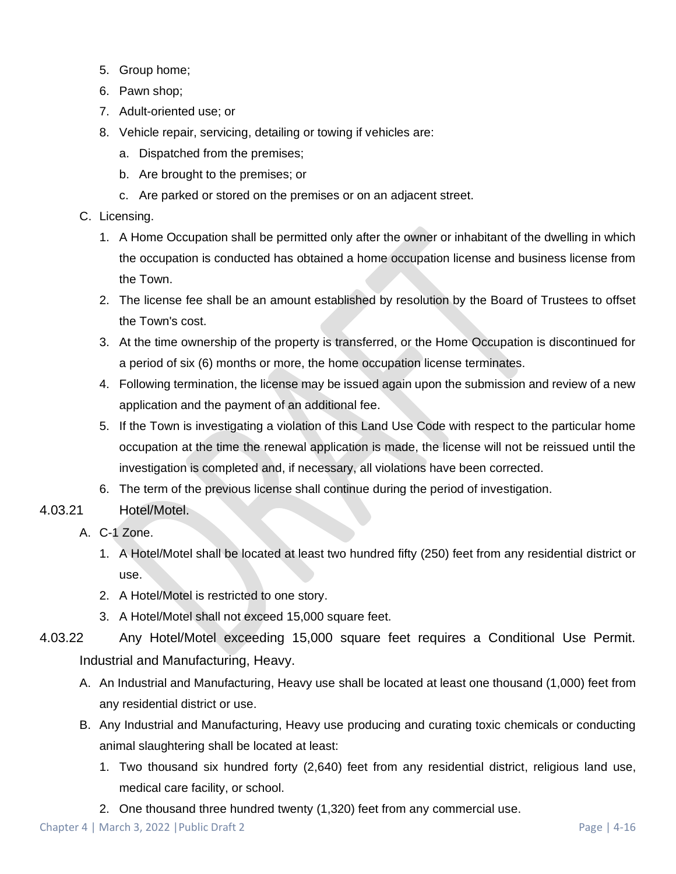- 5. Group home;
- 6. Pawn shop;
- 7. Adult-oriented use; or
- 8. Vehicle repair, servicing, detailing or towing if vehicles are:
	- a. Dispatched from the premises;
	- b. Are brought to the premises; or
	- c. Are parked or stored on the premises or on an adjacent street.
- C. Licensing.
	- 1. A Home Occupation shall be permitted only after the owner or inhabitant of the dwelling in which the occupation is conducted has obtained a home occupation license and business license from the Town.
	- 2. The license fee shall be an amount established by resolution by the Board of Trustees to offset the Town's cost.
	- 3. At the time ownership of the property is transferred, or the Home Occupation is discontinued for a period of six (6) months or more, the home occupation license terminates.
	- 4. Following termination, the license may be issued again upon the submission and review of a new application and the payment of an additional fee.
	- 5. If the Town is investigating a violation of this Land Use Code with respect to the particular home occupation at the time the renewal application is made, the license will not be reissued until the investigation is completed and, if necessary, all violations have been corrected.
	- 6. The term of the previous license shall continue during the period of investigation.
- 4.03.21 Hotel/Motel.
	- A. C-1 Zone.
		- 1. A Hotel/Motel shall be located at least two hundred fifty (250) feet from any residential district or use.
		- 2. A Hotel/Motel is restricted to one story.
		- 3. A Hotel/Motel shall not exceed 15,000 square feet.
- 4.03.22 Any Hotel/Motel exceeding 15,000 square feet requires a Conditional Use Permit. Industrial and Manufacturing, Heavy.
	- A. An Industrial and Manufacturing, Heavy use shall be located at least one thousand (1,000) feet from any residential district or use.
	- B. Any Industrial and Manufacturing, Heavy use producing and curating toxic chemicals or conducting animal slaughtering shall be located at least:
		- 1. Two thousand six hundred forty (2,640) feet from any residential district, religious land use, medical care facility, or school.
		- 2. One thousand three hundred twenty (1,320) feet from any commercial use.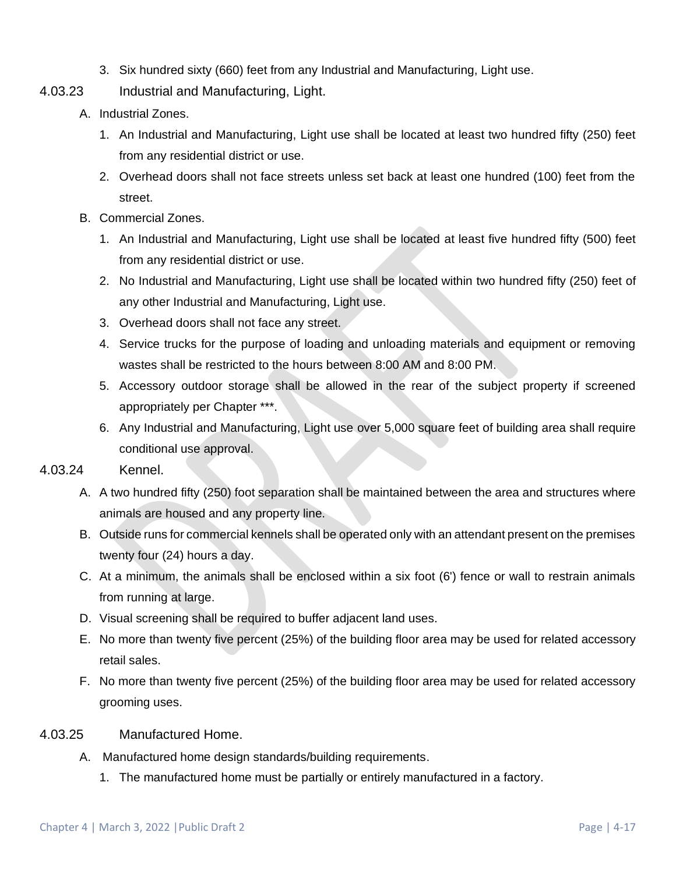- 3. Six hundred sixty (660) feet from any Industrial and Manufacturing, Light use.
- 4.03.23 Industrial and Manufacturing, Light.
	- A. Industrial Zones.
		- 1. An Industrial and Manufacturing, Light use shall be located at least two hundred fifty (250) feet from any residential district or use.
		- 2. Overhead doors shall not face streets unless set back at least one hundred (100) feet from the street.
	- B. Commercial Zones.
		- 1. An Industrial and Manufacturing, Light use shall be located at least five hundred fifty (500) feet from any residential district or use.
		- 2. No Industrial and Manufacturing, Light use shall be located within two hundred fifty (250) feet of any other Industrial and Manufacturing, Light use.
		- 3. Overhead doors shall not face any street.
		- 4. Service trucks for the purpose of loading and unloading materials and equipment or removing wastes shall be restricted to the hours between 8:00 AM and 8:00 PM.
		- 5. Accessory outdoor storage shall be allowed in the rear of the subject property if screened appropriately per Chapter \*\*\*.
		- 6. Any Industrial and Manufacturing, Light use over 5,000 square feet of building area shall require conditional use approval.

#### 4.03.24 Kennel.

- A. A two hundred fifty (250) foot separation shall be maintained between the area and structures where animals are housed and any property line.
- B. Outside runs for commercial kennels shall be operated only with an attendant present on the premises twenty four (24) hours a day.
- C. At a minimum, the animals shall be enclosed within a six foot (6') fence or wall to restrain animals from running at large.
- D. Visual screening shall be required to buffer adjacent land uses.
- E. No more than twenty five percent (25%) of the building floor area may be used for related accessory retail sales.
- F. No more than twenty five percent (25%) of the building floor area may be used for related accessory grooming uses.

#### 4.03.25 Manufactured Home.

- A. Manufactured home design standards/building requirements.
	- 1. The manufactured home must be partially or entirely manufactured in a factory.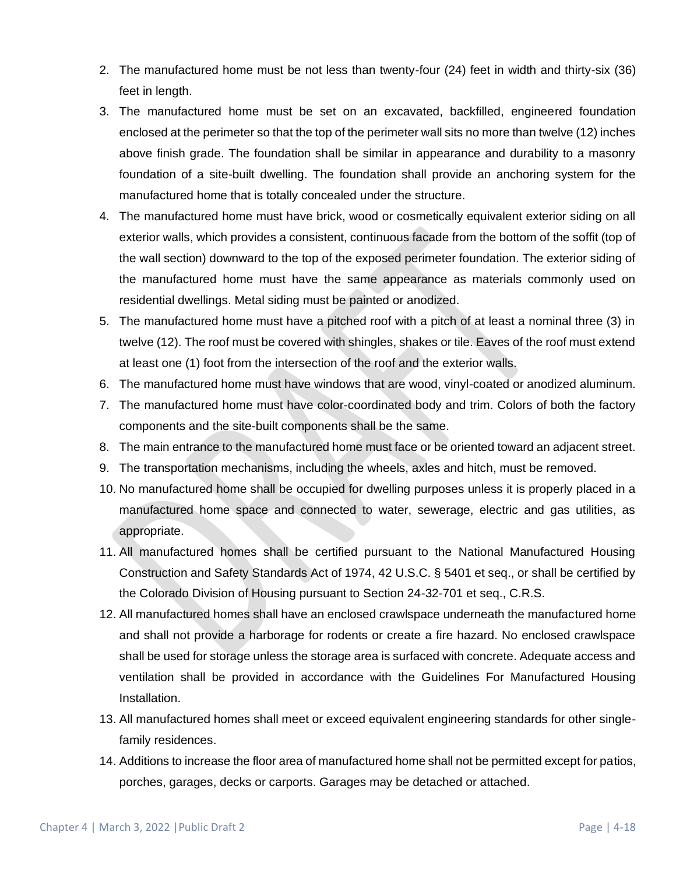- 2. The manufactured home must be not less than twenty-four (24) feet in width and thirty-six (36) feet in length.
- 3. The manufactured home must be set on an excavated, backfilled, engineered foundation enclosed at the perimeter so that the top of the perimeter wall sits no more than twelve (12) inches above finish grade. The foundation shall be similar in appearance and durability to a masonry foundation of a site-built dwelling. The foundation shall provide an anchoring system for the manufactured home that is totally concealed under the structure.
- 4. The manufactured home must have brick, wood or cosmetically equivalent exterior siding on all exterior walls, which provides a consistent, continuous facade from the bottom of the soffit (top of the wall section) downward to the top of the exposed perimeter foundation. The exterior siding of the manufactured home must have the same appearance as materials commonly used on residential dwellings. Metal siding must be painted or anodized.
- 5. The manufactured home must have a pitched roof with a pitch of at least a nominal three (3) in twelve (12). The roof must be covered with shingles, shakes or tile. Eaves of the roof must extend at least one (1) foot from the intersection of the roof and the exterior walls.
- 6. The manufactured home must have windows that are wood, vinyl-coated or anodized aluminum.
- 7. The manufactured home must have color-coordinated body and trim. Colors of both the factory components and the site-built components shall be the same.
- 8. The main entrance to the manufactured home must face or be oriented toward an adjacent street.
- 9. The transportation mechanisms, including the wheels, axles and hitch, must be removed.
- 10. No manufactured home shall be occupied for dwelling purposes unless it is properly placed in a manufactured home space and connected to water, sewerage, electric and gas utilities, as appropriate.
- 11. All manufactured homes shall be certified pursuant to the National Manufactured Housing Construction and Safety Standards Act of 1974, 42 U.S.C. § 5401 et seq., or shall be certified by the Colorado Division of Housing pursuant to Section 24-32-701 et seq., C.R.S.
- 12. All manufactured homes shall have an enclosed crawlspace underneath the manufactured home and shall not provide a harborage for rodents or create a fire hazard. No enclosed crawlspace shall be used for storage unless the storage area is surfaced with concrete. Adequate access and ventilation shall be provided in accordance with the Guidelines For Manufactured Housing Installation.
- 13. All manufactured homes shall meet or exceed equivalent engineering standards for other singlefamily residences.
- 14. Additions to increase the floor area of manufactured home shall not be permitted except for patios, porches, garages, decks or carports. Garages may be detached or attached.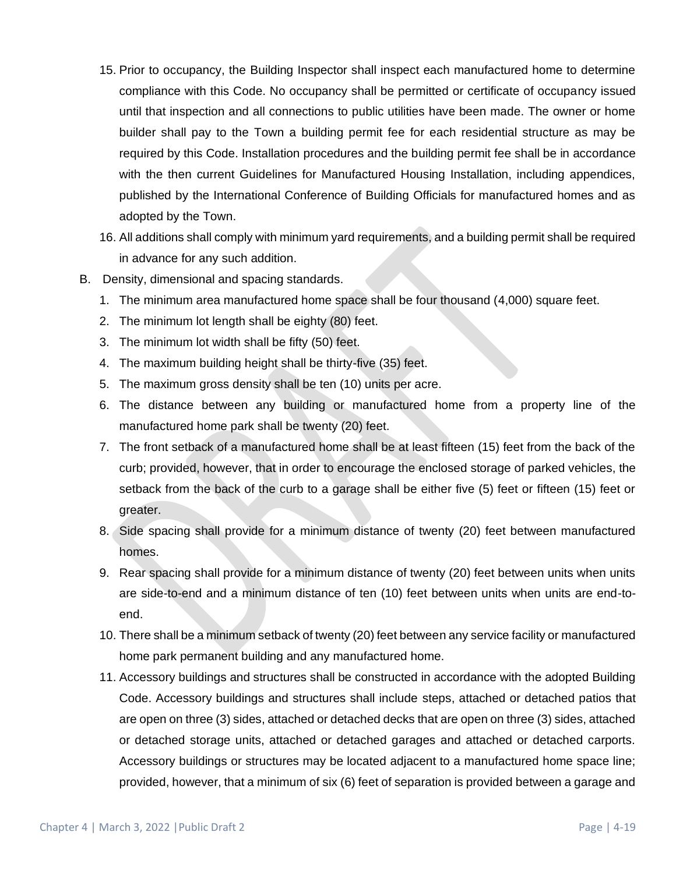- 15. Prior to occupancy, the Building Inspector shall inspect each manufactured home to determine compliance with this Code. No occupancy shall be permitted or certificate of occupancy issued until that inspection and all connections to public utilities have been made. The owner or home builder shall pay to the Town a building permit fee for each residential structure as may be required by this Code. Installation procedures and the building permit fee shall be in accordance with the then current Guidelines for Manufactured Housing Installation, including appendices, published by the International Conference of Building Officials for manufactured homes and as adopted by the Town.
- 16. All additions shall comply with minimum yard requirements, and a building permit shall be required in advance for any such addition.
- B. Density, dimensional and spacing standards.
	- 1. The minimum area manufactured home space shall be four thousand (4,000) square feet.
	- 2. The minimum lot length shall be eighty (80) feet.
	- 3. The minimum lot width shall be fifty (50) feet.
	- 4. The maximum building height shall be thirty-five (35) feet.
	- 5. The maximum gross density shall be ten (10) units per acre.
	- 6. The distance between any building or manufactured home from a property line of the manufactured home park shall be twenty (20) feet.
	- 7. The front setback of a manufactured home shall be at least fifteen (15) feet from the back of the curb; provided, however, that in order to encourage the enclosed storage of parked vehicles, the setback from the back of the curb to a garage shall be either five (5) feet or fifteen (15) feet or greater.
	- 8. Side spacing shall provide for a minimum distance of twenty (20) feet between manufactured homes.
	- 9. Rear spacing shall provide for a minimum distance of twenty (20) feet between units when units are side-to-end and a minimum distance of ten (10) feet between units when units are end-toend.
	- 10. There shall be a minimum setback of twenty (20) feet between any service facility or manufactured home park permanent building and any manufactured home.
	- 11. Accessory buildings and structures shall be constructed in accordance with the adopted Building Code. Accessory buildings and structures shall include steps, attached or detached patios that are open on three (3) sides, attached or detached decks that are open on three (3) sides, attached or detached storage units, attached or detached garages and attached or detached carports. Accessory buildings or structures may be located adjacent to a manufactured home space line; provided, however, that a minimum of six (6) feet of separation is provided between a garage and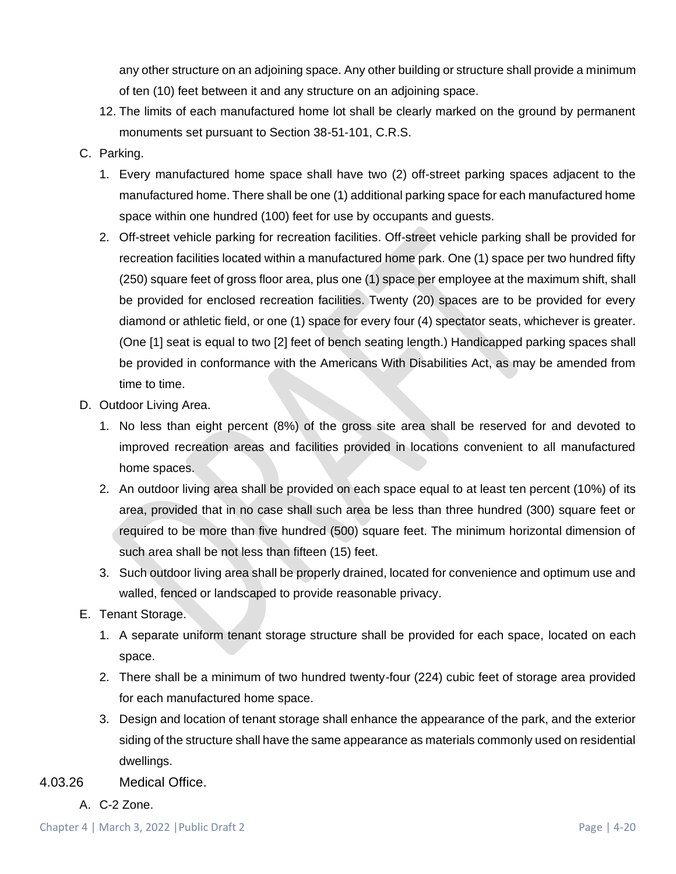any other structure on an adjoining space. Any other building or structure shall provide a minimum of ten (10) feet between it and any structure on an adjoining space.

- 12. The limits of each manufactured home lot shall be clearly marked on the ground by permanent monuments set pursuant to Section 38-51-101, C.R.S.
- C. Parking.
	- 1. Every manufactured home space shall have two (2) off-street parking spaces adjacent to the manufactured home. There shall be one (1) additional parking space for each manufactured home space within one hundred (100) feet for use by occupants and guests.
	- 2. Off-street vehicle parking for recreation facilities. Off-street vehicle parking shall be provided for recreation facilities located within a manufactured home park. One (1) space per two hundred fifty (250) square feet of gross floor area, plus one (1) space per employee at the maximum shift, shall be provided for enclosed recreation facilities. Twenty (20) spaces are to be provided for every diamond or athletic field, or one (1) space for every four (4) spectator seats, whichever is greater. (One [1] seat is equal to two [2] feet of bench seating length.) Handicapped parking spaces shall be provided in conformance with the Americans With Disabilities Act, as may be amended from time to time.
- D. Outdoor Living Area.
	- 1. No less than eight percent (8%) of the gross site area shall be reserved for and devoted to improved recreation areas and facilities provided in locations convenient to all manufactured home spaces.
	- 2. An outdoor living area shall be provided on each space equal to at least ten percent (10%) of its area, provided that in no case shall such area be less than three hundred (300) square feet or required to be more than five hundred (500) square feet. The minimum horizontal dimension of such area shall be not less than fifteen (15) feet.
	- 3. Such outdoor living area shall be properly drained, located for convenience and optimum use and walled, fenced or landscaped to provide reasonable privacy.
- E. Tenant Storage.
	- 1. A separate uniform tenant storage structure shall be provided for each space, located on each space.
	- 2. There shall be a minimum of two hundred twenty-four (224) cubic feet of storage area provided for each manufactured home space.
	- 3. Design and location of tenant storage shall enhance the appearance of the park, and the exterior siding of the structure shall have the same appearance as materials commonly used on residential dwellings.
- 4.03.26 Medical Office.
	- A. C-2 Zone.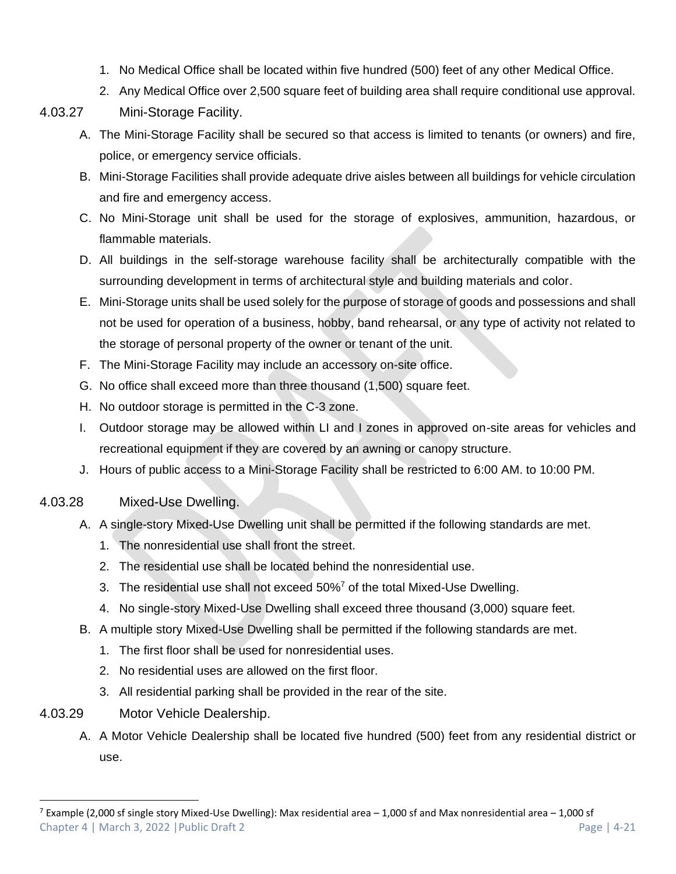- 1. No Medical Office shall be located within five hundred (500) feet of any other Medical Office.
- 2. Any Medical Office over 2,500 square feet of building area shall require conditional use approval.

## 4.03.27 Mini-Storage Facility.

- A. The Mini-Storage Facility shall be secured so that access is limited to tenants (or owners) and fire, police, or emergency service officials.
- B. Mini-Storage Facilities shall provide adequate drive aisles between all buildings for vehicle circulation and fire and emergency access.
- C. No Mini-Storage unit shall be used for the storage of explosives, ammunition, hazardous, or flammable materials.
- D. All buildings in the self-storage warehouse facility shall be architecturally compatible with the surrounding development in terms of architectural style and building materials and color.
- E. Mini-Storage units shall be used solely for the purpose of storage of goods and possessions and shall not be used for operation of a business, hobby, band rehearsal, or any type of activity not related to the storage of personal property of the owner or tenant of the unit.
- F. The Mini-Storage Facility may include an accessory on-site office.
- G. No office shall exceed more than three thousand (1,500) square feet.
- H. No outdoor storage is permitted in the C-3 zone.
- I. Outdoor storage may be allowed within LI and I zones in approved on-site areas for vehicles and recreational equipment if they are covered by an awning or canopy structure.
- J. Hours of public access to a Mini-Storage Facility shall be restricted to 6:00 AM. to 10:00 PM.
- 4.03.28 Mixed-Use Dwelling.
	- A. A single-story Mixed-Use Dwelling unit shall be permitted if the following standards are met.
		- 1. The nonresidential use shall front the street.
		- 2. The residential use shall be located behind the nonresidential use.
		- 3. The residential use shall not exceed  $50\%$ <sup>7</sup> of the total Mixed-Use Dwelling.
		- 4. No single-story Mixed-Use Dwelling shall exceed three thousand (3,000) square feet.
	- B. A multiple story Mixed-Use Dwelling shall be permitted if the following standards are met.
		- 1. The first floor shall be used for nonresidential uses.
		- 2. No residential uses are allowed on the first floor.
		- 3. All residential parking shall be provided in the rear of the site.
- 4.03.29 Motor Vehicle Dealership.
	- A. A Motor Vehicle Dealership shall be located five hundred (500) feet from any residential district or use.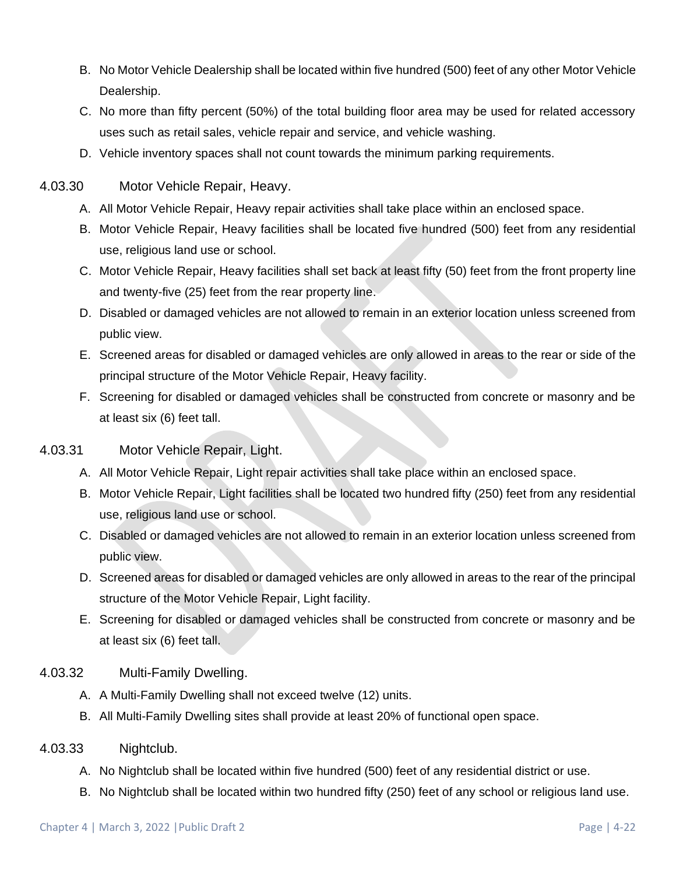- B. No Motor Vehicle Dealership shall be located within five hundred (500) feet of any other Motor Vehicle Dealership.
- C. No more than fifty percent (50%) of the total building floor area may be used for related accessory uses such as retail sales, vehicle repair and service, and vehicle washing.
- D. Vehicle inventory spaces shall not count towards the minimum parking requirements.
- 4.03.30 Motor Vehicle Repair, Heavy.
	- A. All Motor Vehicle Repair, Heavy repair activities shall take place within an enclosed space.
	- B. Motor Vehicle Repair, Heavy facilities shall be located five hundred (500) feet from any residential use, religious land use or school.
	- C. Motor Vehicle Repair, Heavy facilities shall set back at least fifty (50) feet from the front property line and twenty-five (25) feet from the rear property line.
	- D. Disabled or damaged vehicles are not allowed to remain in an exterior location unless screened from public view.
	- E. Screened areas for disabled or damaged vehicles are only allowed in areas to the rear or side of the principal structure of the Motor Vehicle Repair, Heavy facility.
	- F. Screening for disabled or damaged vehicles shall be constructed from concrete or masonry and be at least six (6) feet tall.

### 4.03.31 Motor Vehicle Repair, Light.

- A. All Motor Vehicle Repair, Light repair activities shall take place within an enclosed space.
- B. Motor Vehicle Repair, Light facilities shall be located two hundred fifty (250) feet from any residential use, religious land use or school.
- C. Disabled or damaged vehicles are not allowed to remain in an exterior location unless screened from public view.
- D. Screened areas for disabled or damaged vehicles are only allowed in areas to the rear of the principal structure of the Motor Vehicle Repair, Light facility.
- E. Screening for disabled or damaged vehicles shall be constructed from concrete or masonry and be at least six (6) feet tall.
- 4.03.32 Multi-Family Dwelling.
	- A. A Multi-Family Dwelling shall not exceed twelve (12) units.
	- B. All Multi-Family Dwelling sites shall provide at least 20% of functional open space.
- 4.03.33 Nightclub.
	- A. No Nightclub shall be located within five hundred (500) feet of any residential district or use.
	- B. No Nightclub shall be located within two hundred fifty (250) feet of any school or religious land use.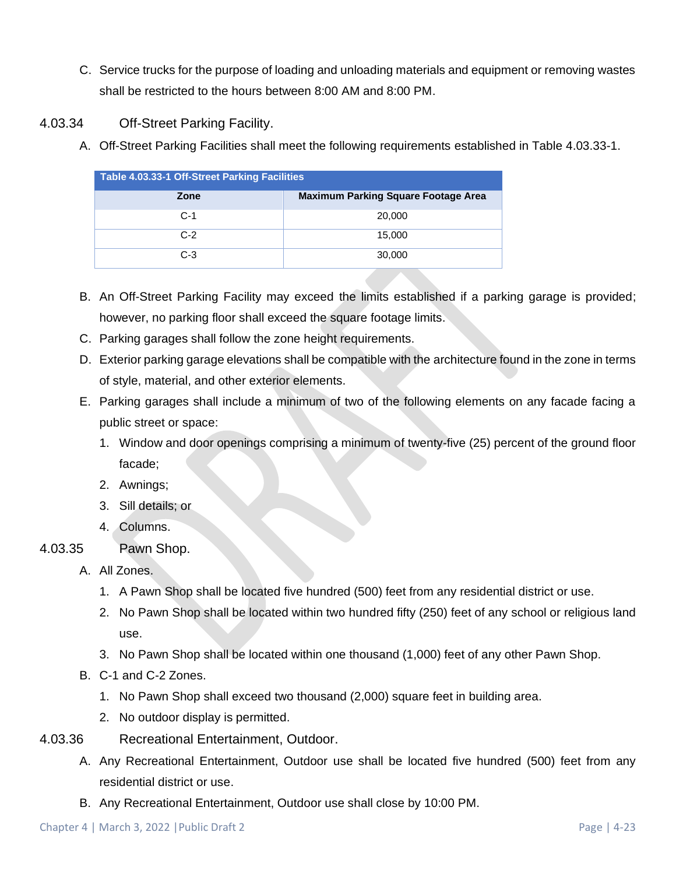- C. Service trucks for the purpose of loading and unloading materials and equipment or removing wastes shall be restricted to the hours between 8:00 AM and 8:00 PM.
- 4.03.34 Off-Street Parking Facility.
	- A. Off-Street Parking Facilities shall meet the following requirements established in Table 4.03.33-1.

| <b>Table 4.03.33-1 Off-Street Parking Facilities</b> |                                            |  |  |  |  |  |  |
|------------------------------------------------------|--------------------------------------------|--|--|--|--|--|--|
| Zone                                                 | <b>Maximum Parking Square Footage Area</b> |  |  |  |  |  |  |
| $C-1$                                                | 20,000                                     |  |  |  |  |  |  |
| $C-2$                                                | 15,000                                     |  |  |  |  |  |  |
| $C-3$                                                | 30,000                                     |  |  |  |  |  |  |

- B. An Off-Street Parking Facility may exceed the limits established if a parking garage is provided; however, no parking floor shall exceed the square footage limits.
- C. Parking garages shall follow the zone height requirements.
- D. Exterior parking garage elevations shall be compatible with the architecture found in the zone in terms of style, material, and other exterior elements.
- E. Parking garages shall include a minimum of two of the following elements on any facade facing a public street or space:
	- 1. Window and door openings comprising a minimum of twenty-five (25) percent of the ground floor facade;
	- 2. Awnings;
	- 3. Sill details; or
	- 4. Columns.
- 4.03.35 Pawn Shop.
	- A. All Zones.
		- 1. A Pawn Shop shall be located five hundred (500) feet from any residential district or use.
		- 2. No Pawn Shop shall be located within two hundred fifty (250) feet of any school or religious land use.
		- 3. No Pawn Shop shall be located within one thousand (1,000) feet of any other Pawn Shop.
	- B. C-1 and C-2 Zones.
		- 1. No Pawn Shop shall exceed two thousand (2,000) square feet in building area.
		- 2. No outdoor display is permitted.
- 4.03.36 Recreational Entertainment, Outdoor.
	- A. Any Recreational Entertainment, Outdoor use shall be located five hundred (500) feet from any residential district or use.
	- B. Any Recreational Entertainment, Outdoor use shall close by 10:00 PM.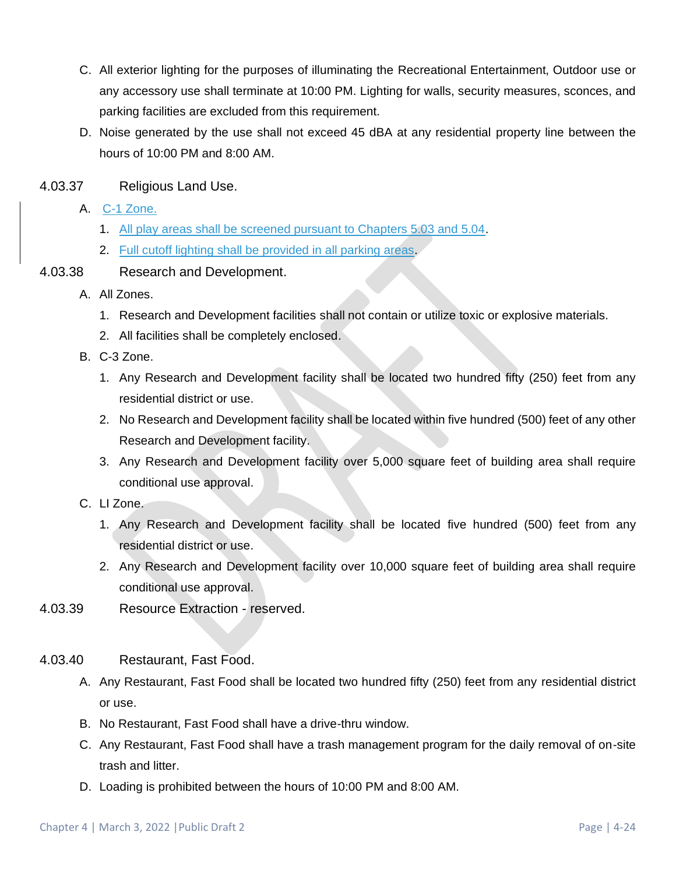- C. All exterior lighting for the purposes of illuminating the Recreational Entertainment, Outdoor use or any accessory use shall terminate at 10:00 PM. Lighting for walls, security measures, sconces, and parking facilities are excluded from this requirement.
- D. Noise generated by the use shall not exceed 45 dBA at any residential property line between the hours of 10:00 PM and 8:00 AM.
- 4.03.37 Religious Land Use.
	- A. C-1 Zone.
		- 1. All play areas shall be screened pursuant to Chapters 5.03 and 5.04.
		- 2. Full cutoff lighting shall be provided in all parking areas.
- 4.03.38 Research and Development.
	- A. All Zones.
		- 1. Research and Development facilities shall not contain or utilize toxic or explosive materials.
		- 2. All facilities shall be completely enclosed.
	- B. C-3 Zone.
		- 1. Any Research and Development facility shall be located two hundred fifty (250) feet from any residential district or use.
		- 2. No Research and Development facility shall be located within five hundred (500) feet of any other Research and Development facility.
		- 3. Any Research and Development facility over 5,000 square feet of building area shall require conditional use approval.
	- C. LI Zone.
		- 1. Any Research and Development facility shall be located five hundred (500) feet from any residential district or use.
		- 2. Any Research and Development facility over 10,000 square feet of building area shall require conditional use approval.
- 4.03.39 Resource Extraction reserved.
- 4.03.40 Restaurant, Fast Food.
	- A. Any Restaurant, Fast Food shall be located two hundred fifty (250) feet from any residential district or use.
	- B. No Restaurant, Fast Food shall have a drive-thru window.
	- C. Any Restaurant, Fast Food shall have a trash management program for the daily removal of on-site trash and litter.
	- D. Loading is prohibited between the hours of 10:00 PM and 8:00 AM.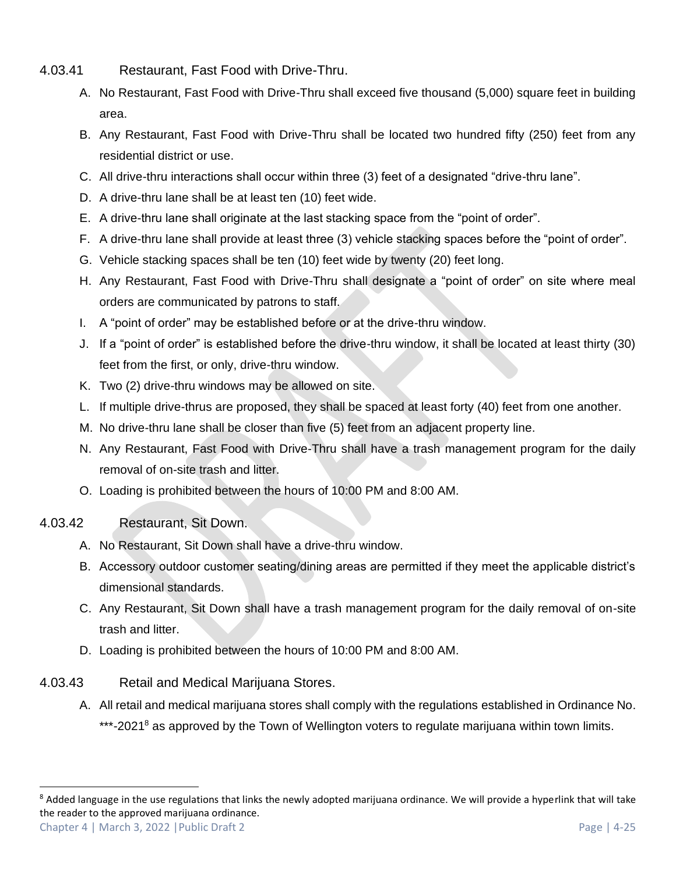- 4.03.41 Restaurant, Fast Food with Drive-Thru.
	- A. No Restaurant, Fast Food with Drive-Thru shall exceed five thousand (5,000) square feet in building area.
	- B. Any Restaurant, Fast Food with Drive-Thru shall be located two hundred fifty (250) feet from any residential district or use.
	- C. All drive-thru interactions shall occur within three (3) feet of a designated "drive-thru lane".
	- D. A drive-thru lane shall be at least ten (10) feet wide.
	- E. A drive-thru lane shall originate at the last stacking space from the "point of order".
	- F. A drive-thru lane shall provide at least three (3) vehicle stacking spaces before the "point of order".
	- G. Vehicle stacking spaces shall be ten (10) feet wide by twenty (20) feet long.
	- H. Any Restaurant, Fast Food with Drive-Thru shall designate a "point of order" on site where meal orders are communicated by patrons to staff.
	- I. A "point of order" may be established before or at the drive-thru window.
	- J. If a "point of order" is established before the drive-thru window, it shall be located at least thirty (30) feet from the first, or only, drive-thru window.
	- K. Two (2) drive-thru windows may be allowed on site.
	- L. If multiple drive-thrus are proposed, they shall be spaced at least forty (40) feet from one another.
	- M. No drive-thru lane shall be closer than five (5) feet from an adjacent property line.
	- N. Any Restaurant, Fast Food with Drive-Thru shall have a trash management program for the daily removal of on-site trash and litter.
	- O. Loading is prohibited between the hours of 10:00 PM and 8:00 AM.
- 4.03.42 Restaurant, Sit Down.
	- A. No Restaurant, Sit Down shall have a drive-thru window.
	- B. Accessory outdoor customer seating/dining areas are permitted if they meet the applicable district's dimensional standards.
	- C. Any Restaurant, Sit Down shall have a trash management program for the daily removal of on-site trash and litter.
	- D. Loading is prohibited between the hours of 10:00 PM and 8:00 AM.
- 4.03.43 Retail and Medical Marijuana Stores.
	- A. All retail and medical marijuana stores shall comply with the regulations established in Ordinance No. \*\*\*-2021<sup>8</sup> as approved by the Town of Wellington voters to regulate marijuana within town limits.

Chapter 4 | March 3, 2022 | Public Draft 2 Page | 4-25 <sup>8</sup> Added language in the use regulations that links the newly adopted marijuana ordinance. We will provide a hyperlink that will take the reader to the approved marijuana ordinance.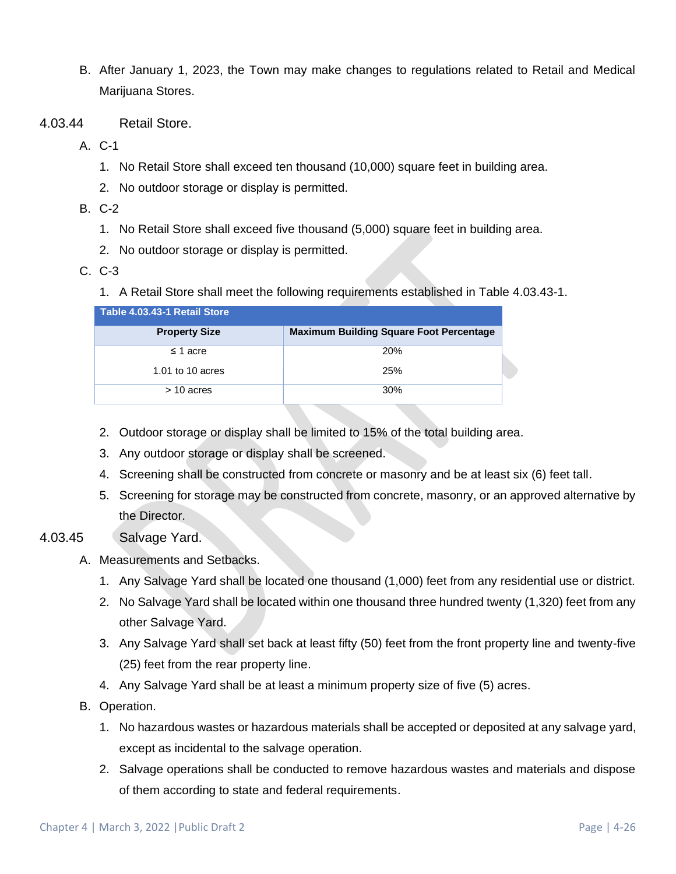- B. After January 1, 2023, the Town may make changes to regulations related to Retail and Medical Marijuana Stores.
- 4.03.44 Retail Store.
	- A. C-1
		- 1. No Retail Store shall exceed ten thousand (10,000) square feet in building area.
		- 2. No outdoor storage or display is permitted.
	- B. C-2
		- 1. No Retail Store shall exceed five thousand (5,000) square feet in building area.
		- 2. No outdoor storage or display is permitted.
	- C. C-3
		- 1. A Retail Store shall meet the following requirements established in Table 4.03.43-1.

| Table 4.03.43-1 Retail Store |                                                |
|------------------------------|------------------------------------------------|
| <b>Property Size</b>         | <b>Maximum Building Square Foot Percentage</b> |
| $\leq$ 1 acre                | <b>20%</b>                                     |
| 1.01 to 10 acres             | 25%                                            |
| $>$ 10 acres                 | 30%                                            |

- 2. Outdoor storage or display shall be limited to 15% of the total building area.
- 3. Any outdoor storage or display shall be screened.
- 4. Screening shall be constructed from concrete or masonry and be at least six (6) feet tall.
- 5. Screening for storage may be constructed from concrete, masonry, or an approved alternative by the Director.

#### 4.03.45 Salvage Yard.

- A. Measurements and Setbacks.
	- 1. Any Salvage Yard shall be located one thousand (1,000) feet from any residential use or district.
	- 2. No Salvage Yard shall be located within one thousand three hundred twenty (1,320) feet from any other Salvage Yard.
	- 3. Any Salvage Yard shall set back at least fifty (50) feet from the front property line and twenty-five (25) feet from the rear property line.
	- 4. Any Salvage Yard shall be at least a minimum property size of five (5) acres.
- B. Operation.
	- 1. No hazardous wastes or hazardous materials shall be accepted or deposited at any salvage yard, except as incidental to the salvage operation.
	- 2. Salvage operations shall be conducted to remove hazardous wastes and materials and dispose of them according to state and federal requirements.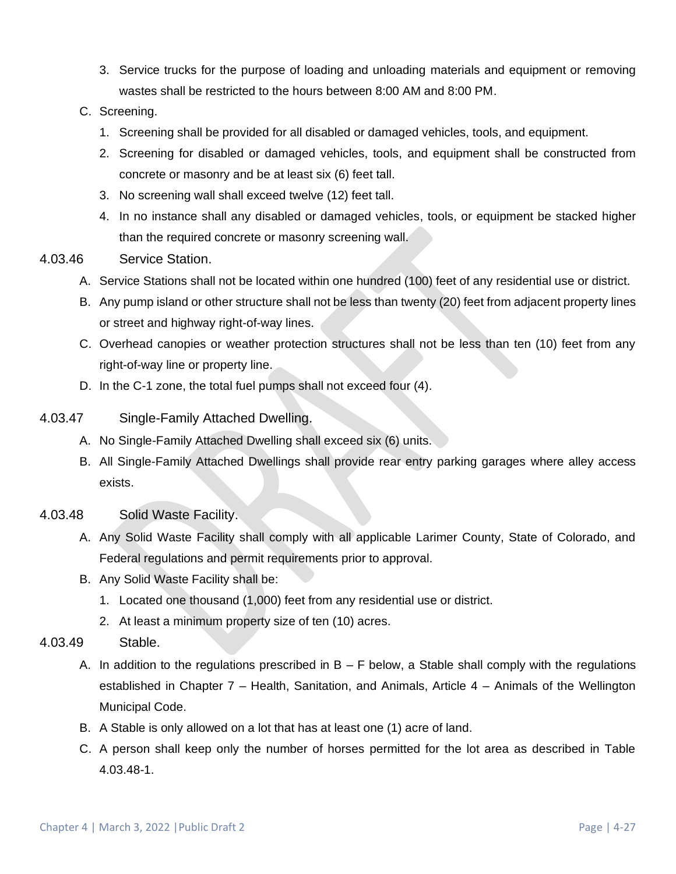- 3. Service trucks for the purpose of loading and unloading materials and equipment or removing wastes shall be restricted to the hours between 8:00 AM and 8:00 PM.
- C. Screening.
	- 1. Screening shall be provided for all disabled or damaged vehicles, tools, and equipment.
	- 2. Screening for disabled or damaged vehicles, tools, and equipment shall be constructed from concrete or masonry and be at least six (6) feet tall.
	- 3. No screening wall shall exceed twelve (12) feet tall.
	- 4. In no instance shall any disabled or damaged vehicles, tools, or equipment be stacked higher than the required concrete or masonry screening wall.
- 4.03.46 Service Station.
	- A. Service Stations shall not be located within one hundred (100) feet of any residential use or district.
	- B. Any pump island or other structure shall not be less than twenty (20) feet from adjacent property lines or street and highway right-of-way lines.
	- C. Overhead canopies or weather protection structures shall not be less than ten (10) feet from any right-of-way line or property line.
	- D. In the C-1 zone, the total fuel pumps shall not exceed four (4).
- 4.03.47 Single-Family Attached Dwelling.
	- A. No Single-Family Attached Dwelling shall exceed six (6) units.
	- B. All Single-Family Attached Dwellings shall provide rear entry parking garages where alley access exists.
- 4.03.48 Solid Waste Facility.
	- A. Any Solid Waste Facility shall comply with all applicable Larimer County, State of Colorado, and Federal regulations and permit requirements prior to approval.
	- B. Any Solid Waste Facility shall be:
		- 1. Located one thousand (1,000) feet from any residential use or district.
		- 2. At least a minimum property size of ten (10) acres.
- 4.03.49 Stable.
	- A. In addition to the regulations prescribed in  $B F$  below, a Stable shall comply with the regulations established in Chapter 7 – Health, Sanitation, and Animals, Article 4 – Animals of the Wellington Municipal Code.
	- B. A Stable is only allowed on a lot that has at least one (1) acre of land.
	- C. A person shall keep only the number of horses permitted for the lot area as described in Table 4.03.48-1.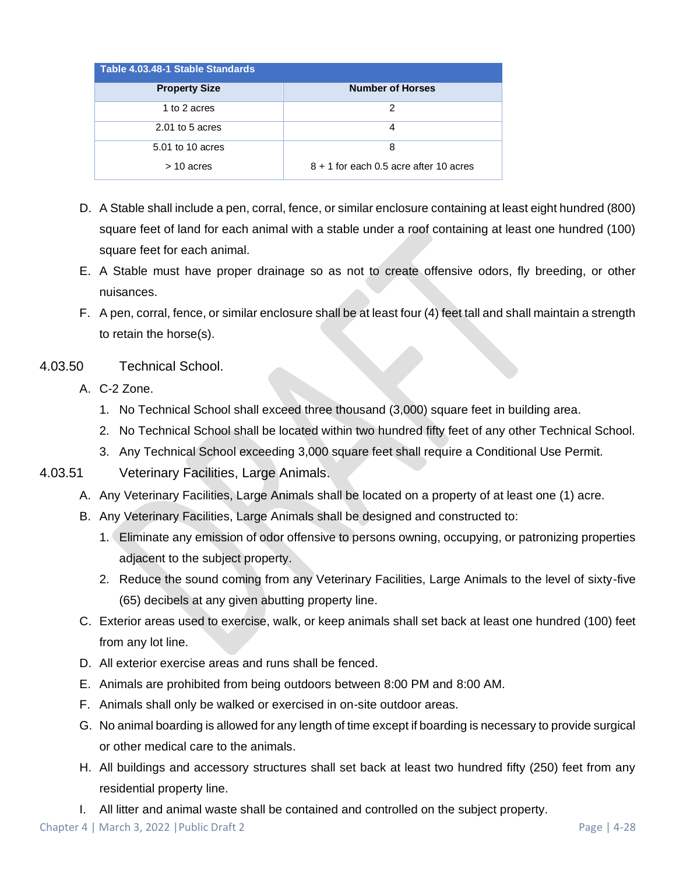| Table 4.03.48-1 Stable Standards |                                          |  |  |  |  |  |  |  |  |
|----------------------------------|------------------------------------------|--|--|--|--|--|--|--|--|
| <b>Property Size</b>             | <b>Number of Horses</b>                  |  |  |  |  |  |  |  |  |
| 1 to 2 acres                     | 2                                        |  |  |  |  |  |  |  |  |
| $2.01$ to 5 acres                | 4                                        |  |  |  |  |  |  |  |  |
| 5.01 to 10 acres                 | 8                                        |  |  |  |  |  |  |  |  |
| $>$ 10 acres                     | $8 + 1$ for each 0.5 acre after 10 acres |  |  |  |  |  |  |  |  |

- D. A Stable shall include a pen, corral, fence, or similar enclosure containing at least eight hundred (800) square feet of land for each animal with a stable under a roof containing at least one hundred (100) square feet for each animal.
- E. A Stable must have proper drainage so as not to create offensive odors, fly breeding, or other nuisances.
- F. A pen, corral, fence, or similar enclosure shall be at least four (4) feet tall and shall maintain a strength to retain the horse(s).
- 4.03.50 Technical School.
	- A. C-2 Zone.
		- 1. No Technical School shall exceed three thousand (3,000) square feet in building area.
		- 2. No Technical School shall be located within two hundred fifty feet of any other Technical School.
		- 3. Any Technical School exceeding 3,000 square feet shall require a Conditional Use Permit.
- 4.03.51 Veterinary Facilities, Large Animals.
	- A. Any Veterinary Facilities, Large Animals shall be located on a property of at least one (1) acre.
	- B. Any Veterinary Facilities, Large Animals shall be designed and constructed to:
		- 1. Eliminate any emission of odor offensive to persons owning, occupying, or patronizing properties adjacent to the subject property.
		- 2. Reduce the sound coming from any Veterinary Facilities, Large Animals to the level of sixty-five (65) decibels at any given abutting property line.
	- C. Exterior areas used to exercise, walk, or keep animals shall set back at least one hundred (100) feet from any lot line.
	- D. All exterior exercise areas and runs shall be fenced.
	- E. Animals are prohibited from being outdoors between 8:00 PM and 8:00 AM.
	- F. Animals shall only be walked or exercised in on-site outdoor areas.
	- G. No animal boarding is allowed for any length of time except if boarding is necessary to provide surgical or other medical care to the animals.
	- H. All buildings and accessory structures shall set back at least two hundred fifty (250) feet from any residential property line.
	- I. All litter and animal waste shall be contained and controlled on the subject property.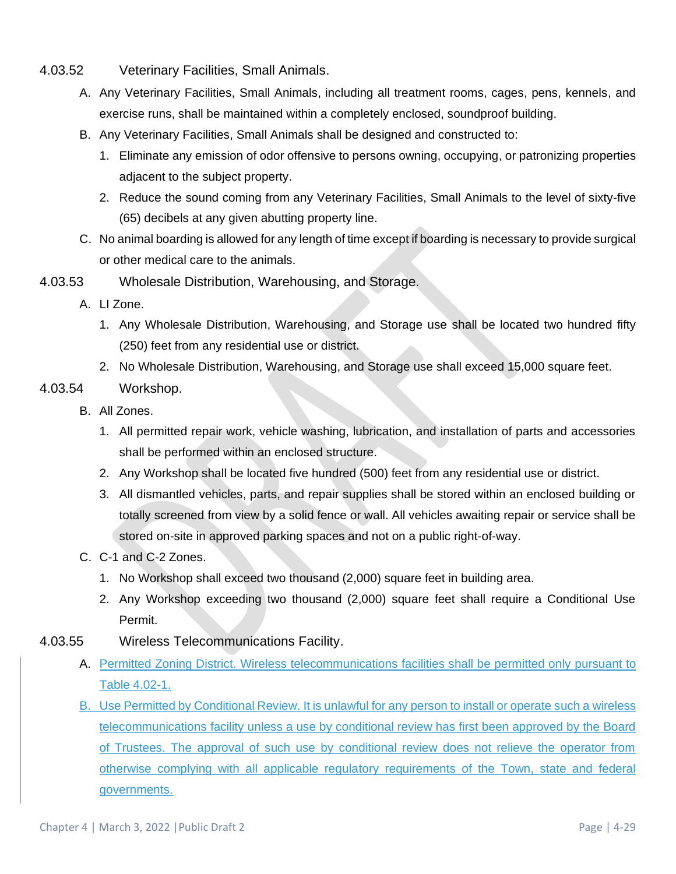- 4.03.52 Veterinary Facilities, Small Animals.
	- A. Any Veterinary Facilities, Small Animals, including all treatment rooms, cages, pens, kennels, and exercise runs, shall be maintained within a completely enclosed, soundproof building.
	- B. Any Veterinary Facilities, Small Animals shall be designed and constructed to:
		- 1. Eliminate any emission of odor offensive to persons owning, occupying, or patronizing properties adjacent to the subject property.
		- 2. Reduce the sound coming from any Veterinary Facilities, Small Animals to the level of sixty-five (65) decibels at any given abutting property line.
	- C. No animal boarding is allowed for any length of time except if boarding is necessary to provide surgical or other medical care to the animals.
- 4.03.53 Wholesale Distribution, Warehousing, and Storage.
	- A. LI Zone.
		- 1. Any Wholesale Distribution, Warehousing, and Storage use shall be located two hundred fifty (250) feet from any residential use or district.
		- 2. No Wholesale Distribution, Warehousing, and Storage use shall exceed 15,000 square feet.
- 4.03.54 Workshop.
	- B. All Zones.
		- 1. All permitted repair work, vehicle washing, lubrication, and installation of parts and accessories shall be performed within an enclosed structure.
		- 2. Any Workshop shall be located five hundred (500) feet from any residential use or district.
		- 3. All dismantled vehicles, parts, and repair supplies shall be stored within an enclosed building or totally screened from view by a solid fence or wall. All vehicles awaiting repair or service shall be stored on-site in approved parking spaces and not on a public right-of-way.
	- C. C-1 and C-2 Zones.
		- 1. No Workshop shall exceed two thousand (2,000) square feet in building area.
		- 2. Any Workshop exceeding two thousand (2,000) square feet shall require a Conditional Use Permit.
- 4.03.55 Wireless Telecommunications Facility.
	- A. Permitted Zoning District. Wireless telecommunications facilities shall be permitted only pursuant to Table 4.02-1.
	- B. Use Permitted by Conditional Review. It is unlawful for any person to install or operate such a wireless telecommunications facility unless a use by conditional review has first been approved by the Board of Trustees. The approval of such use by conditional review does not relieve the operator from otherwise complying with all applicable regulatory requirements of the Town, state and federal governments.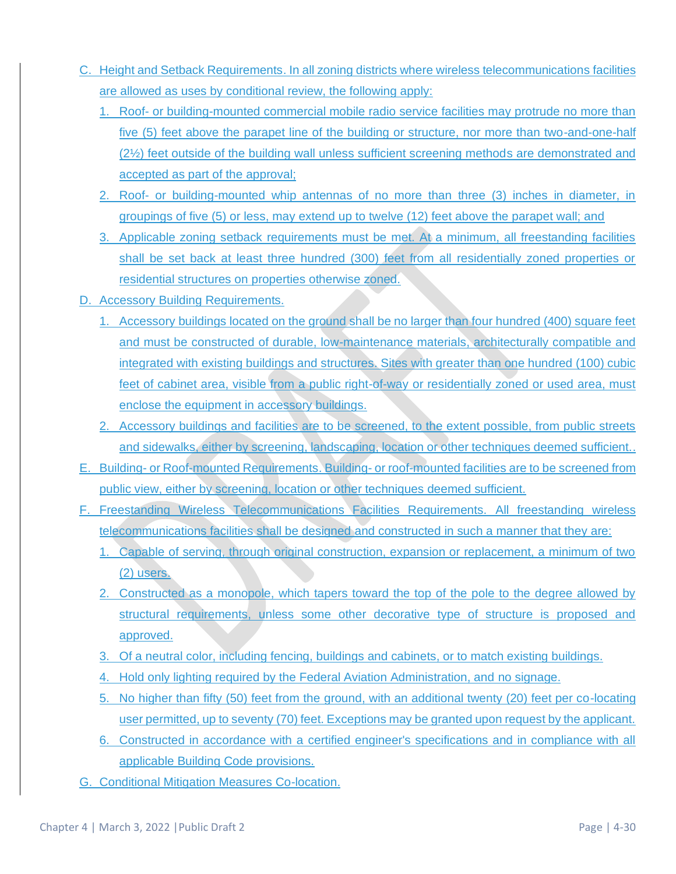- C. Height and Setback Requirements. In all zoning districts where wireless telecommunications facilities are allowed as uses by conditional review, the following apply:
	- 1. Roof- or building-mounted commercial mobile radio service facilities may protrude no more than five (5) feet above the parapet line of the building or structure, nor more than two-and-one-half (2½) feet outside of the building wall unless sufficient screening methods are demonstrated and accepted as part of the approval;
	- 2. Roof- or building-mounted whip antennas of no more than three (3) inches in diameter, in groupings of five (5) or less, may extend up to twelve (12) feet above the parapet wall; and
	- 3. Applicable zoning setback requirements must be met. At a minimum, all freestanding facilities shall be set back at least three hundred (300) feet from all residentially zoned properties or residential structures on properties otherwise zoned.
- D. Accessory Building Requirements.
	- 1. Accessory buildings located on the ground shall be no larger than four hundred (400) square feet and must be constructed of durable, low-maintenance materials, architecturally compatible and integrated with existing buildings and structures. Sites with greater than one hundred (100) cubic feet of cabinet area, visible from a public right-of-way or residentially zoned or used area, must enclose the equipment in accessory buildings.
	- 2. Accessory buildings and facilities are to be screened, to the extent possible, from public streets and sidewalks, either by screening, landscaping, location or other techniques deemed sufficient..
- E. Building- or Roof-mounted Requirements. Building- or roof-mounted facilities are to be screened from public view, either by screening, location or other techniques deemed sufficient.
- F. Freestanding Wireless Telecommunications Facilities Requirements. All freestanding wireless telecommunications facilities shall be designed and constructed in such a manner that they are:
	- 1. Capable of serving, through original construction, expansion or replacement, a minimum of two (2) users.
	- 2. Constructed as a monopole, which tapers toward the top of the pole to the degree allowed by structural requirements, unless some other decorative type of structure is proposed and approved.
	- 3. Of a neutral color, including fencing, buildings and cabinets, or to match existing buildings.
	- 4. Hold only lighting required by the Federal Aviation Administration, and no signage.
	- 5. No higher than fifty (50) feet from the ground, with an additional twenty (20) feet per co-locating user permitted, up to seventy (70) feet. Exceptions may be granted upon request by the applicant.
	- 6. Constructed in accordance with a certified engineer's specifications and in compliance with all applicable Building Code provisions.
- G. Conditional Mitigation Measures Co-location.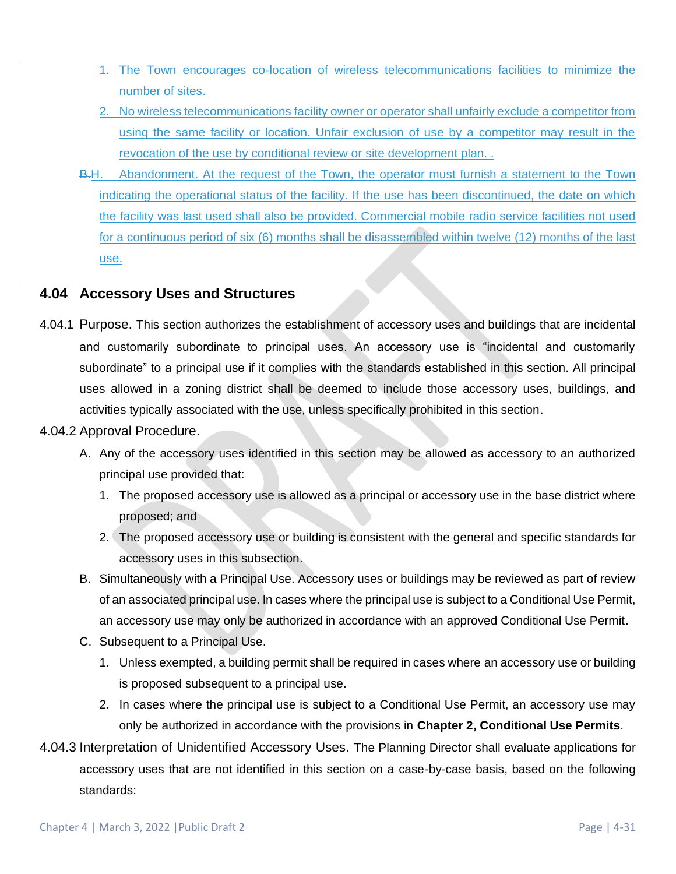- 1. The Town encourages co-location of wireless telecommunications facilities to minimize the number of sites.
- 2. No wireless telecommunications facility owner or operator shall unfairly exclude a competitor from using the same facility or location. Unfair exclusion of use by a competitor may result in the revocation of the use by conditional review or site development plan. .
- B.H. Abandonment. At the request of the Town, the operator must furnish a statement to the Town indicating the operational status of the facility. If the use has been discontinued, the date on which the facility was last used shall also be provided. Commercial mobile radio service facilities not used for a continuous period of six (6) months shall be disassembled within twelve (12) months of the last use.

## <span id="page-30-0"></span>**4.04 Accessory Uses and Structures**

- 4.04.1 Purpose. This section authorizes the establishment of accessory uses and buildings that are incidental and customarily subordinate to principal uses. An accessory use is "incidental and customarily subordinate" to a principal use if it complies with the standards established in this section. All principal uses allowed in a zoning district shall be deemed to include those accessory uses, buildings, and activities typically associated with the use, unless specifically prohibited in this section.
- 4.04.2 Approval Procedure.
	- A. Any of the accessory uses identified in this section may be allowed as accessory to an authorized principal use provided that:
		- 1. The proposed accessory use is allowed as a principal or accessory use in the base district where proposed; and
		- 2. The proposed accessory use or building is consistent with the general and specific standards for accessory uses in this subsection.
	- B. Simultaneously with a Principal Use. Accessory uses or buildings may be reviewed as part of review of an associated principal use. In cases where the principal use is subject to a Conditional Use Permit, an accessory use may only be authorized in accordance with an approved Conditional Use Permit.
	- C. Subsequent to a Principal Use.
		- 1. Unless exempted, a building permit shall be required in cases where an accessory use or building is proposed subsequent to a principal use.
		- 2. In cases where the principal use is subject to a Conditional Use Permit, an accessory use may only be authorized in accordance with the provisions in **Chapter 2, Conditional Use Permits**.
- 4.04.3 Interpretation of Unidentified Accessory Uses. The Planning Director shall evaluate applications for accessory uses that are not identified in this section on a case-by-case basis, based on the following standards: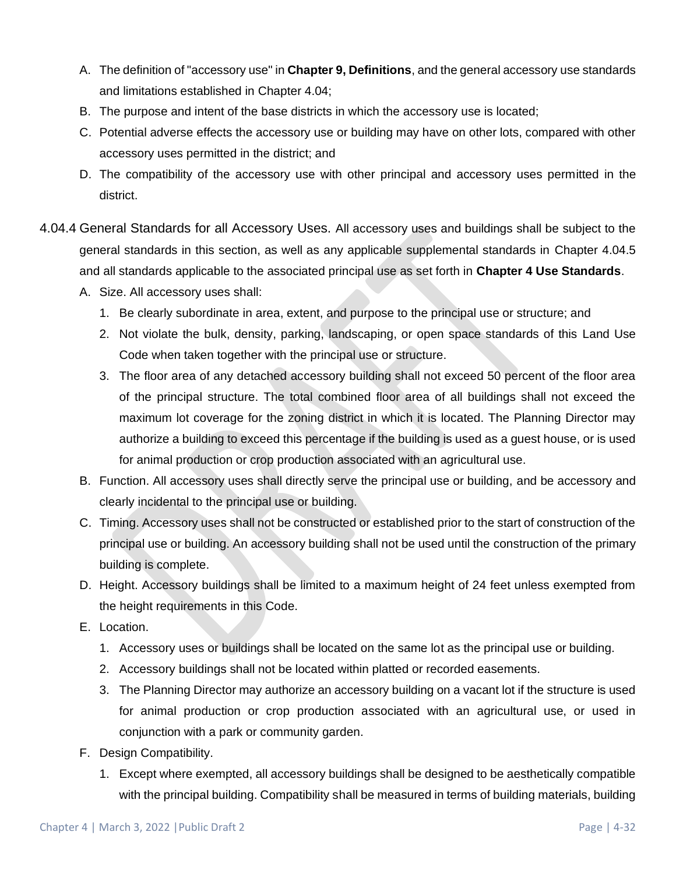- A. The definition of "accessory use" in **Chapter 9, Definitions**, and the general accessory use standards and limitations established in Chapter [4.04;](#page-30-0)
- B. The purpose and intent of the base districts in which the accessory use is located;
- C. Potential adverse effects the accessory use or building may have on other lots, compared with other accessory uses permitted in the district; and
- D. The compatibility of the accessory use with other principal and accessory uses permitted in the district.
- 4.04.4 General Standards for all Accessory Uses. All accessory uses and buildings shall be subject to the general standards in this section, as well as any applicable supplemental standards in Chapter [4.04.5](#page-32-1) and all standards applicable to the associated principal use as set forth in **Chapter 4 Use Standards**.
	- A. Size. All accessory uses shall:
		- 1. Be clearly subordinate in area, extent, and purpose to the principal use or structure; and
		- 2. Not violate the bulk, density, parking, landscaping, or open space standards of this Land Use Code when taken together with the principal use or structure.
		- 3. The floor area of any detached accessory building shall not exceed 50 percent of the floor area of the principal structure. The total combined floor area of all buildings shall not exceed the maximum lot coverage for the zoning district in which it is located. The Planning Director may authorize a building to exceed this percentage if the building is used as a guest house, or is used for animal production or crop production associated with an agricultural use.
	- B. Function. All accessory uses shall directly serve the principal use or building, and be accessory and clearly incidental to the principal use or building.
	- C. Timing. Accessory uses shall not be constructed or established prior to the start of construction of the principal use or building. An accessory building shall not be used until the construction of the primary building is complete.
	- D. Height. Accessory buildings shall be limited to a maximum height of 24 feet unless exempted from the height requirements in this Code.
	- E. Location.
		- 1. Accessory uses or buildings shall be located on the same lot as the principal use or building.
		- 2. Accessory buildings shall not be located within platted or recorded easements.
		- 3. The Planning Director may authorize an accessory building on a vacant lot if the structure is used for animal production or crop production associated with an agricultural use, or used in conjunction with a park or community garden.
	- F. Design Compatibility.
		- 1. Except where exempted, all accessory buildings shall be designed to be aesthetically compatible with the principal building. Compatibility shall be measured in terms of building materials, building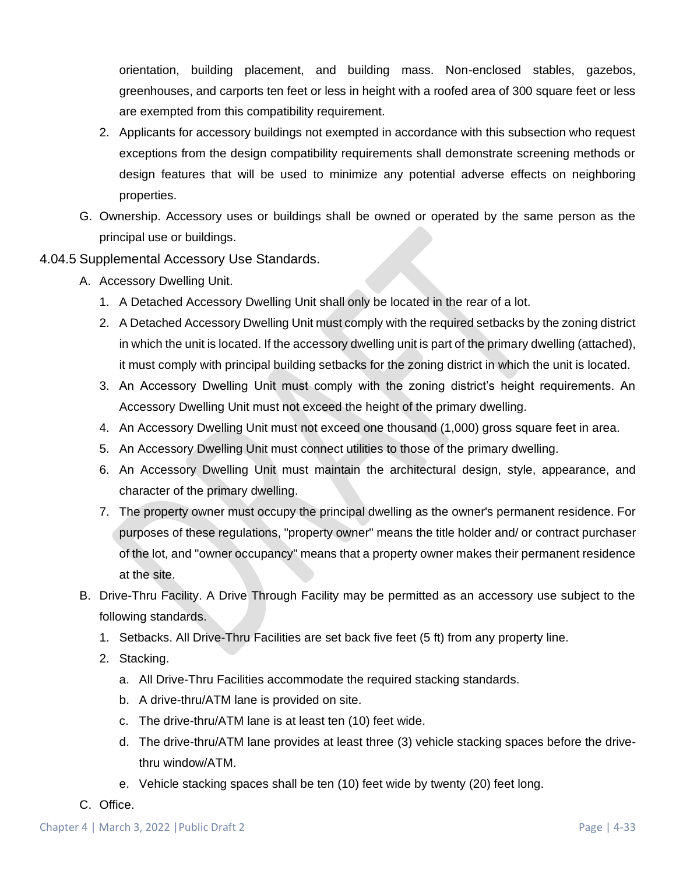orientation, building placement, and building mass. Non-enclosed stables, gazebos, greenhouses, and carports ten feet or less in height with a roofed area of 300 square feet or less are exempted from this compatibility requirement.

- 2. Applicants for accessory buildings not exempted in accordance with this subsection who request exceptions from the design compatibility requirements shall demonstrate screening methods or design features that will be used to minimize any potential adverse effects on neighboring properties.
- G. Ownership. Accessory uses or buildings shall be owned or operated by the same person as the principal use or buildings.
- <span id="page-32-1"></span><span id="page-32-0"></span>4.04.5 Supplemental Accessory Use Standards.
	- A. Accessory Dwelling Unit.
		- 1. A Detached Accessory Dwelling Unit shall only be located in the rear of a lot.
		- 2. A Detached Accessory Dwelling Unit must comply with the required setbacks by the zoning district in which the unit is located. If the accessory dwelling unit is part of the primary dwelling (attached), it must comply with principal building setbacks for the zoning district in which the unit is located.
		- 3. An Accessory Dwelling Unit must comply with the zoning district's height requirements. An Accessory Dwelling Unit must not exceed the height of the primary dwelling.
		- 4. An Accessory Dwelling Unit must not exceed one thousand (1,000) gross square feet in area.
		- 5. An Accessory Dwelling Unit must connect utilities to those of the primary dwelling.
		- 6. An Accessory Dwelling Unit must maintain the architectural design, style, appearance, and character of the primary dwelling.
		- 7. The property owner must occupy the principal dwelling as the owner's permanent residence. For purposes of these regulations, "property owner" means the title holder and/ or contract purchaser of the lot, and "owner occupancy" means that a property owner makes their permanent residence at the site.
	- B. Drive-Thru Facility. A Drive Through Facility may be permitted as an accessory use subject to the following standards.
		- 1. Setbacks. All Drive-Thru Facilities are set back five feet (5 ft) from any property line.
		- 2. Stacking.
			- a. All Drive-Thru Facilities accommodate the required stacking standards.
			- b. A drive-thru/ATM lane is provided on site.
			- c. The drive-thru/ATM lane is at least ten (10) feet wide.
			- d. The drive-thru/ATM lane provides at least three (3) vehicle stacking spaces before the drivethru window/ATM.
			- e. Vehicle stacking spaces shall be ten (10) feet wide by twenty (20) feet long.
	- C. Office.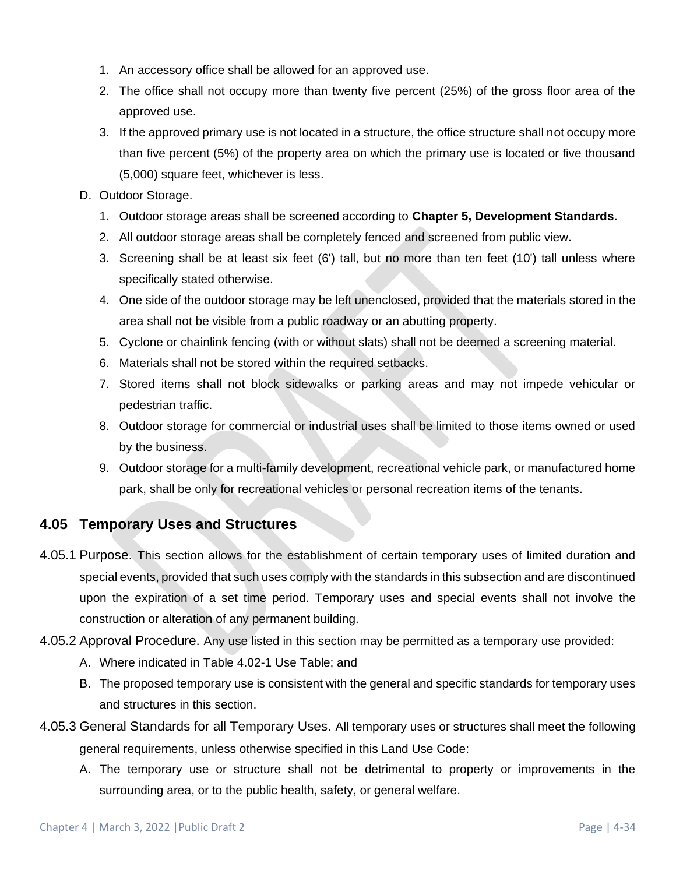- 1. An accessory office shall be allowed for an approved use.
- 2. The office shall not occupy more than twenty five percent (25%) of the gross floor area of the approved use.
- 3. If the approved primary use is not located in a structure, the office structure shall not occupy more than five percent (5%) of the property area on which the primary use is located or five thousand (5,000) square feet, whichever is less.
- <span id="page-33-0"></span>D. Outdoor Storage.
	- 1. Outdoor storage areas shall be screened according to **Chapter 5, Development Standards**.
	- 2. All outdoor storage areas shall be completely fenced and screened from public view.
	- 3. Screening shall be at least six feet (6') tall, but no more than ten feet (10') tall unless where specifically stated otherwise.
	- 4. One side of the outdoor storage may be left unenclosed, provided that the materials stored in the area shall not be visible from a public roadway or an abutting property.
	- 5. Cyclone or chainlink fencing (with or without slats) shall not be deemed a screening material.
	- 6. Materials shall not be stored within the required setbacks.
	- 7. Stored items shall not block sidewalks or parking areas and may not impede vehicular or pedestrian traffic.
	- 8. Outdoor storage for commercial or industrial uses shall be limited to those items owned or used by the business.
	- 9. Outdoor storage for a multi-family development, recreational vehicle park, or manufactured home park, shall be only for recreational vehicles or personal recreation items of the tenants.

## <span id="page-33-1"></span>**4.05 Temporary Uses and Structures**

- 4.05.1 Purpose. This section allows for the establishment of certain temporary uses of limited duration and special events, provided that such uses comply with the standards in this subsection and are discontinued upon the expiration of a set time period. Temporary uses and special events shall not involve the construction or alteration of any permanent building.
- 4.05.2 Approval Procedure. Any use listed in this section may be permitted as a temporary use provided:
	- A. Where indicated in Table 4.02-1 Use Table; and
	- B. The proposed temporary use is consistent with the general and specific standards for temporary uses and structures in this section.
- 4.05.3 General Standards for all Temporary Uses. All temporary uses or structures shall meet the following general requirements, unless otherwise specified in this Land Use Code:
	- A. The temporary use or structure shall not be detrimental to property or improvements in the surrounding area, or to the public health, safety, or general welfare.